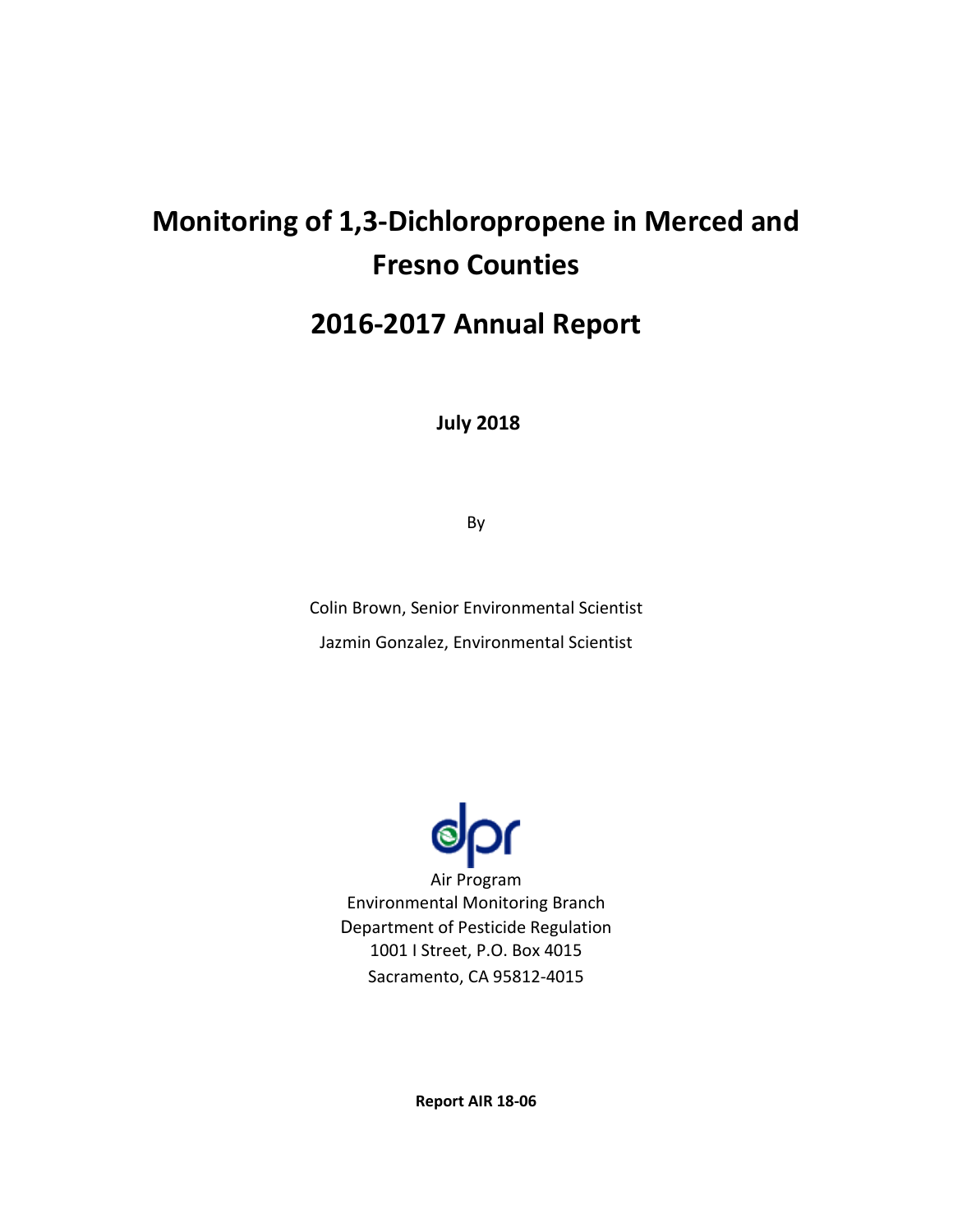# **Monitoring of 1,3-Dichloropropene in Merced and Fresno Counties**

# **2016-2017 Annual Report**

**July 2018**

By

Colin Brown, Senior Environmental Scientist Jazmin Gonzalez, Environmental Scientist



Air Program Environmental Monitoring Branch Department of Pesticide Regulation 1001 I Street, P.O. Box 4015 Sacramento, CA 95812-4015

**Report AIR 18-06**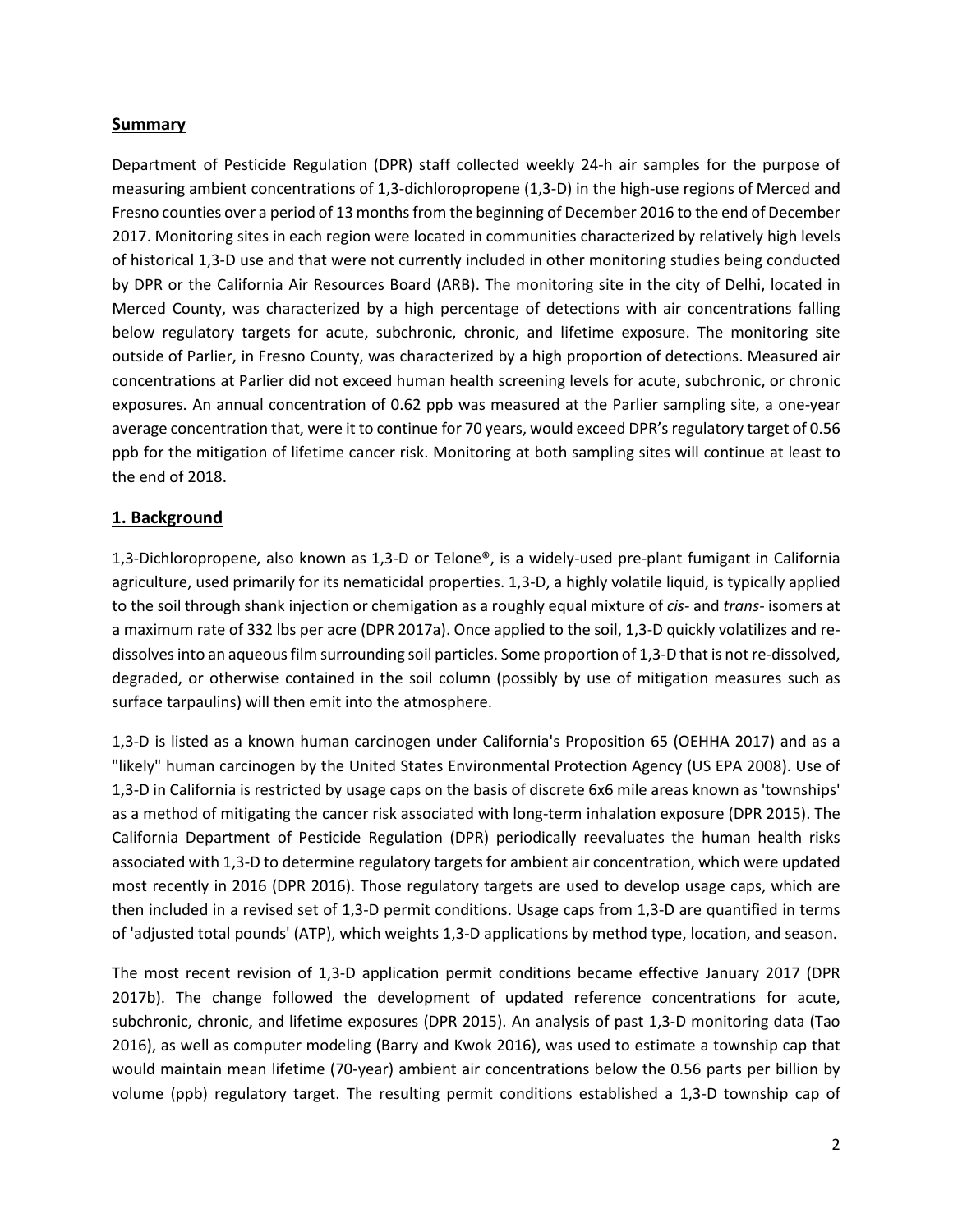#### **Summary**

Department of Pesticide Regulation (DPR) staff collected weekly 24-h air samples for the purpose of measuring ambient concentrations of 1,3-dichloropropene (1,3-D) in the high-use regions of Merced and Fresno counties over a period of 13 months from the beginning of December 2016 to the end of December 2017. Monitoring sites in each region were located in communities characterized by relatively high levels of historical 1,3-D use and that were not currently included in other monitoring studies being conducted by DPR or the California Air Resources Board (ARB). The monitoring site in the city of Delhi, located in Merced County, was characterized by a high percentage of detections with air concentrations falling below regulatory targets for acute, subchronic, chronic, and lifetime exposure. The monitoring site outside of Parlier, in Fresno County, was characterized by a high proportion of detections. Measured air concentrations at Parlier did not exceed human health screening levels for acute, subchronic, or chronic exposures. An annual concentration of 0.62 ppb was measured at the Parlier sampling site, a one-year average concentration that, were it to continue for 70 years, would exceed DPR's regulatory target of 0.56 ppb for the mitigation of lifetime cancer risk. Monitoring at both sampling sites will continue at least to the end of 2018.

#### **1. Background**

1,3-Dichloropropene, also known as 1,3-D or Telone®, is a widely-used pre-plant fumigant in California agriculture, used primarily for its nematicidal properties. 1,3-D, a highly volatile liquid, is typically applied to the soil through shank injection or chemigation as a roughly equal mixture of *cis-* and *trans-* isomers at a maximum rate of 332 lbs per acre (DPR 2017a). Once applied to the soil, 1,3-D quickly volatilizes and redissolves into an aqueous film surrounding soil particles. Some proportion of 1,3-D that is not re-dissolved, degraded, or otherwise contained in the soil column (possibly by use of mitigation measures such as surface tarpaulins) will then emit into the atmosphere.

1,3-D is listed as a known human carcinogen under California's Proposition 65 (OEHHA 2017) and as a "likely" human carcinogen by the United States Environmental Protection Agency (US EPA 2008). Use of 1,3-D in California is restricted by usage caps on the basis of discrete 6x6 mile areas known as 'townships' as a method of mitigating the cancer risk associated with long-term inhalation exposure (DPR 2015). The California Department of Pesticide Regulation (DPR) periodically reevaluates the human health risks associated with 1,3-D to determine regulatory targets for ambient air concentration, which were updated most recently in 2016 (DPR 2016). Those regulatory targets are used to develop usage caps, which are then included in a revised set of 1,3-D permit conditions. Usage caps from 1,3-D are quantified in terms of 'adjusted total pounds' (ATP), which weights 1,3-D applications by method type, location, and season.

The most recent revision of 1,3-D application permit conditions became effective January 2017 (DPR 2017b). The change followed the development of updated reference concentrations for acute, subchronic, chronic, and lifetime exposures (DPR 2015). An analysis of past 1,3-D monitoring data (Tao 2016), as well as computer modeling (Barry and Kwok 2016), was used to estimate a township cap that would maintain mean lifetime (70-year) ambient air concentrations below the 0.56 parts per billion by volume (ppb) regulatory target. The resulting permit conditions established a 1,3-D township cap of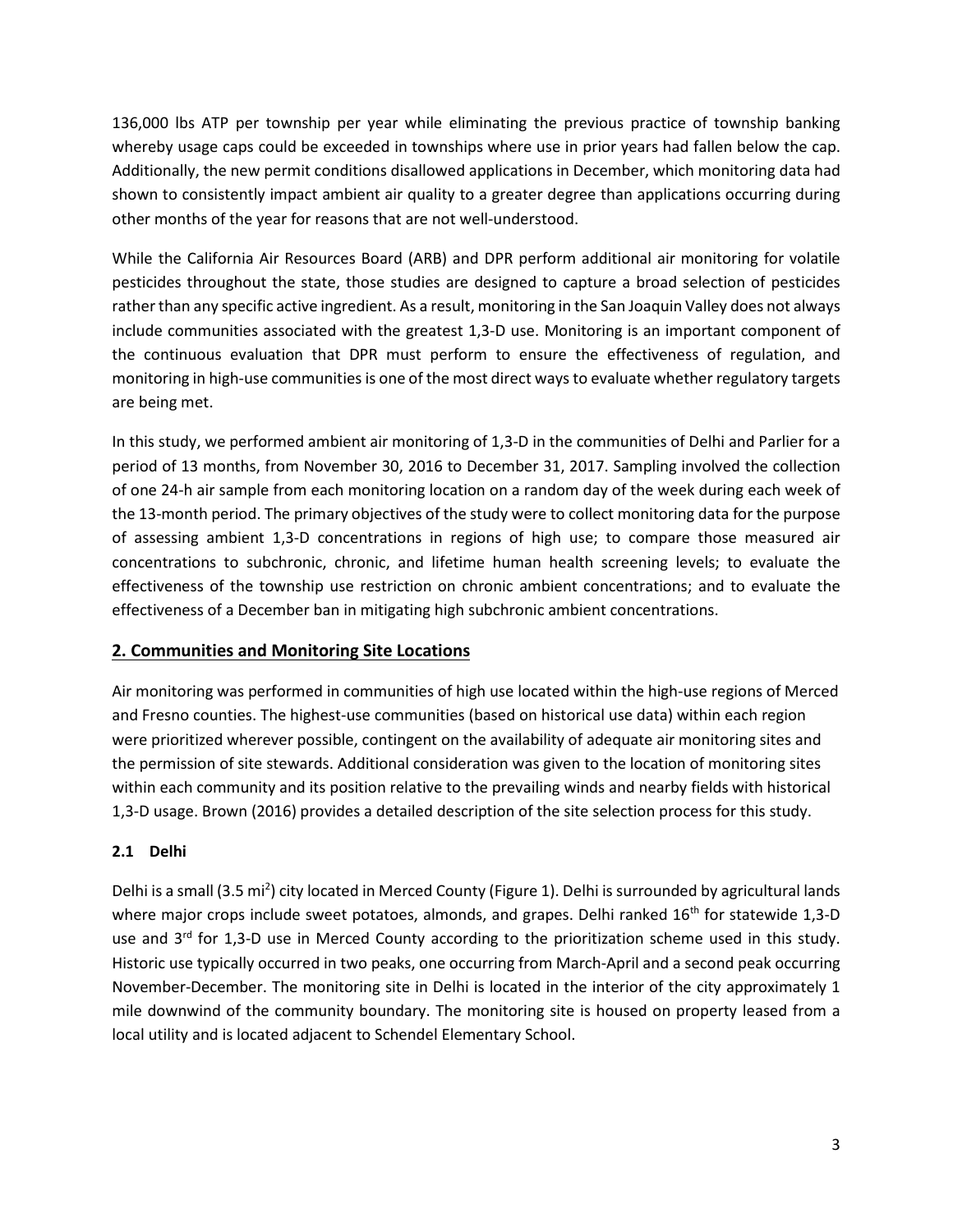136,000 lbs ATP per township per year while eliminating the previous practice of township banking whereby usage caps could be exceeded in townships where use in prior years had fallen below the cap. Additionally, the new permit conditions disallowed applications in December, which monitoring data had shown to consistently impact ambient air quality to a greater degree than applications occurring during other months of the year for reasons that are not well-understood.

While the California Air Resources Board (ARB) and DPR perform additional air monitoring for volatile pesticides throughout the state, those studies are designed to capture a broad selection of pesticides rather than any specific active ingredient. As a result, monitoring in the San Joaquin Valley does not always include communities associated with the greatest 1,3-D use. Monitoring is an important component of the continuous evaluation that DPR must perform to ensure the effectiveness of regulation, and monitoring in high-use communities is one of the most direct ways to evaluate whether regulatory targets are being met.

In this study, we performed ambient air monitoring of 1,3-D in the communities of Delhi and Parlier for a period of 13 months, from November 30, 2016 to December 31, 2017. Sampling involved the collection of one 24-h air sample from each monitoring location on a random day of the week during each week of the 13-month period. The primary objectives of the study were to collect monitoring data for the purpose of assessing ambient 1,3-D concentrations in regions of high use; to compare those measured air concentrations to subchronic, chronic, and lifetime human health screening levels; to evaluate the effectiveness of the township use restriction on chronic ambient concentrations; and to evaluate the effectiveness of a December ban in mitigating high subchronic ambient concentrations.

# **2. Communities and Monitoring Site Locations**

Air monitoring was performed in communities of high use located within the high-use regions of Merced and Fresno counties. The highest-use communities (based on historical use data) within each region were prioritized wherever possible, contingent on the availability of adequate air monitoring sites and the permission of site stewards. Additional consideration was given to the location of monitoring sites within each community and its position relative to the prevailing winds and nearby fields with historical 1,3-D usage. Brown (2016) provides a detailed description of the site selection process for this study.

#### **2.1 Delhi**

Delhi is a small (3.5 mi<sup>2</sup>) city located in Merced County (Figure 1). Delhi is surrounded by agricultural lands where major crops include sweet potatoes, almonds, and grapes. Delhi ranked 16<sup>th</sup> for statewide 1,3-D use and  $3^{rd}$  for 1,3-D use in Merced County according to the prioritization scheme used in this study. Historic use typically occurred in two peaks, one occurring from March-April and a second peak occurring November-December. The monitoring site in Delhi is located in the interior of the city approximately 1 mile downwind of the community boundary. The monitoring site is housed on property leased from a local utility and is located adjacent to Schendel Elementary School.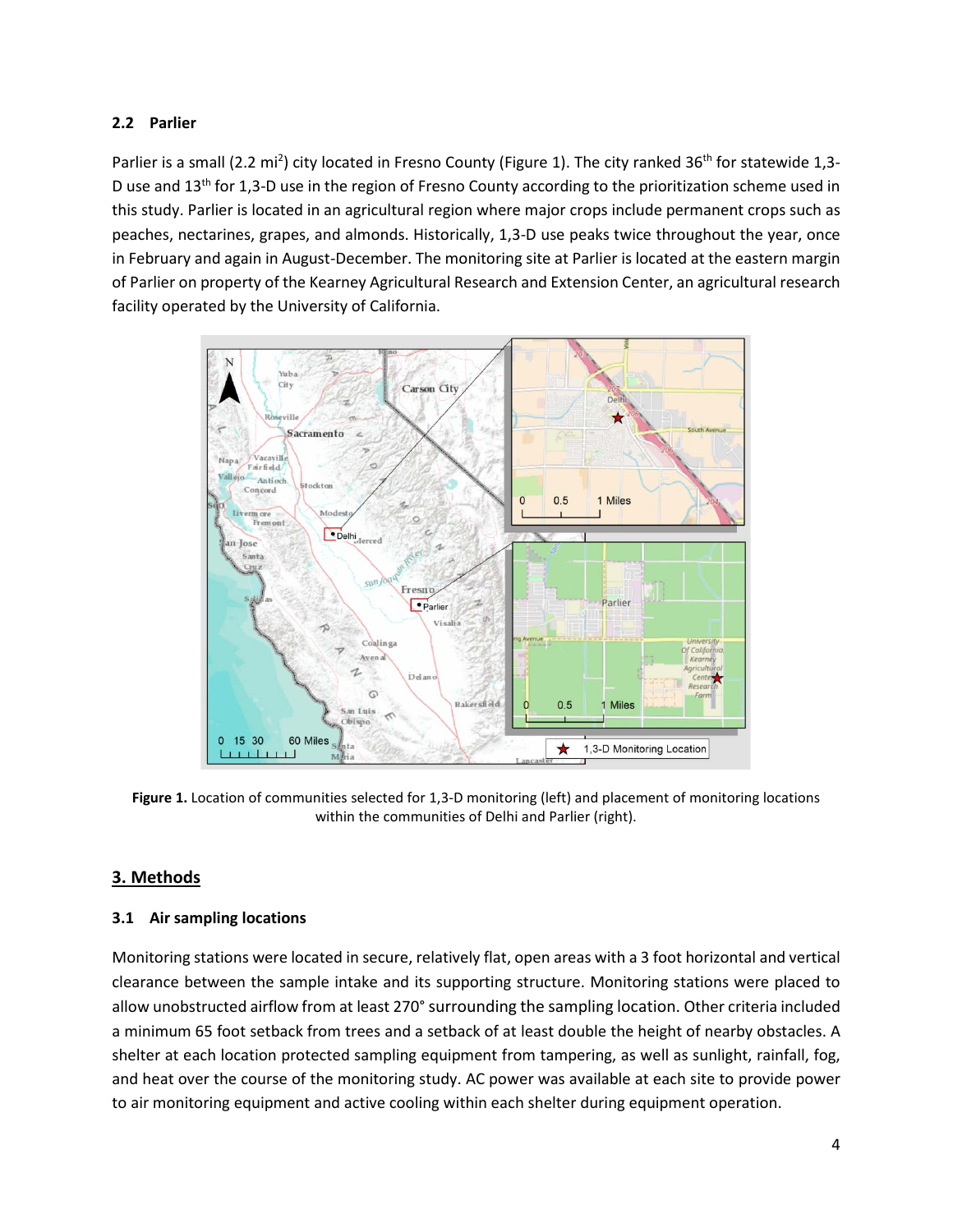#### **2.2 Parlier**

Parlier is a small (2.2 mi<sup>2</sup>) city located in Fresno County (Figure 1). The city ranked 36<sup>th</sup> for statewide 1,3-D use and  $13<sup>th</sup>$  for 1,3-D use in the region of Fresno County according to the prioritization scheme used in this study. Parlier is located in an agricultural region where major crops include permanent crops such as peaches, nectarines, grapes, and almonds. Historically, 1,3-D use peaks twice throughout the year, once in February and again in August-December. The monitoring site at Parlier is located at the eastern margin of Parlier on property of the Kearney Agricultural Research and Extension Center, an agricultural research facility operated by the University of California.



**Figure 1.** Location of communities selected for 1,3-D monitoring (left) and placement of monitoring locations within the communities of Delhi and Parlier (right).

#### **3. Methods**

#### **3.1 Air sampling locations**

Monitoring stations were located in secure, relatively flat, open areas with a 3 foot horizontal and vertical clearance between the sample intake and its supporting structure. Monitoring stations were placed to allow unobstructed airflow from at least 270° surrounding the sampling location. Other criteria included a minimum 65 foot setback from trees and a setback of at least double the height of nearby obstacles. A shelter at each location protected sampling equipment from tampering, as well as sunlight, rainfall, fog, and heat over the course of the monitoring study. AC power was available at each site to provide power to air monitoring equipment and active cooling within each shelter during equipment operation.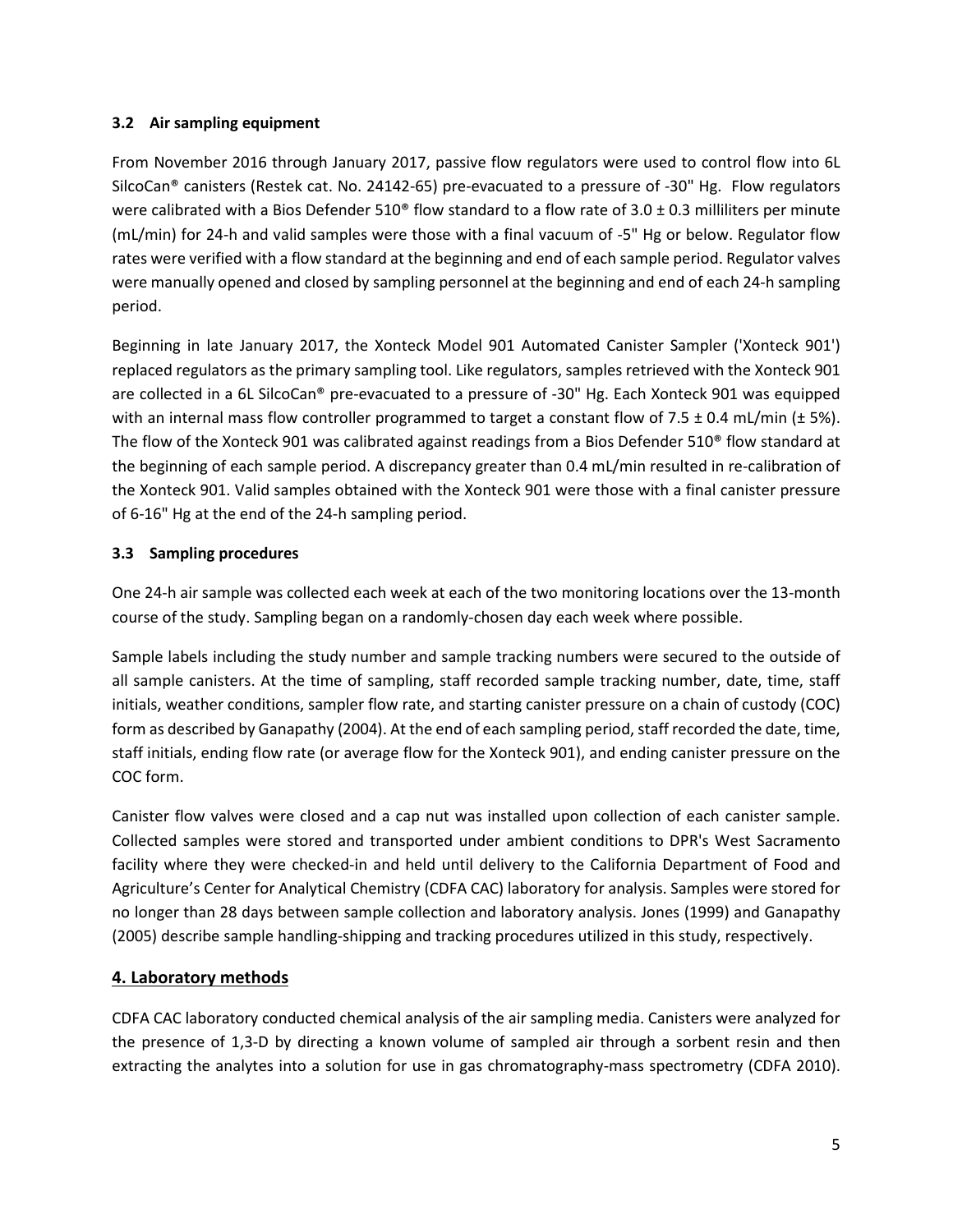#### **3.2 Air sampling equipment**

From November 2016 through January 2017, passive flow regulators were used to control flow into 6L SilcoCan® canisters (Restek cat. No. 24142-65) pre-evacuated to a pressure of -30" Hg. Flow regulators were calibrated with a Bios Defender  $510^{\circ}$  flow standard to a flow rate of  $3.0 \pm 0.3$  milliliters per minute (mL/min) for 24-h and valid samples were those with a final vacuum of -5" Hg or below. Regulator flow rates were verified with a flow standard at the beginning and end of each sample period. Regulator valves were manually opened and closed by sampling personnel at the beginning and end of each 24-h sampling period.

Beginning in late January 2017, the Xonteck Model 901 Automated Canister Sampler ('Xonteck 901') replaced regulators as the primary sampling tool. Like regulators, samples retrieved with the Xonteck 901 are collected in a 6L SilcoCan® pre-evacuated to a pressure of -30" Hg. Each Xonteck 901 was equipped with an internal mass flow controller programmed to target a constant flow of 7.5  $\pm$  0.4 mL/min ( $\pm$  5%). The flow of the Xonteck 901 was calibrated against readings from a Bios Defender 510® flow standard at the beginning of each sample period. A discrepancy greater than 0.4 mL/min resulted in re-calibration of the Xonteck 901. Valid samples obtained with the Xonteck 901 were those with a final canister pressure of 6-16" Hg at the end of the 24-h sampling period.

#### **3.3 Sampling procedures**

One 24-h air sample was collected each week at each of the two monitoring locations over the 13-month course of the study. Sampling began on a randomly-chosen day each week where possible.

Sample labels including the study number and sample tracking numbers were secured to the outside of all sample canisters. At the time of sampling, staff recorded sample tracking number, date, time, staff initials, weather conditions, sampler flow rate, and starting canister pressure on a chain of custody (COC) form as described by Ganapathy (2004). At the end of each sampling period, staff recorded the date, time, staff initials, ending flow rate (or average flow for the Xonteck 901), and ending canister pressure on the COC form.

Canister flow valves were closed and a cap nut was installed upon collection of each canister sample. Collected samples were stored and transported under ambient conditions to DPR's West Sacramento facility where they were checked-in and held until delivery to the California Department of Food and Agriculture's Center for Analytical Chemistry (CDFA CAC) laboratory for analysis. Samples were stored for no longer than 28 days between sample collection and laboratory analysis. Jones (1999) and Ganapathy (2005) describe sample handling-shipping and tracking procedures utilized in this study, respectively.

# **4. Laboratory methods**

CDFA CAC laboratory conducted chemical analysis of the air sampling media. Canisters were analyzed for the presence of 1,3-D by directing a known volume of sampled air through a sorbent resin and then extracting the analytes into a solution for use in gas chromatography-mass spectrometry (CDFA 2010).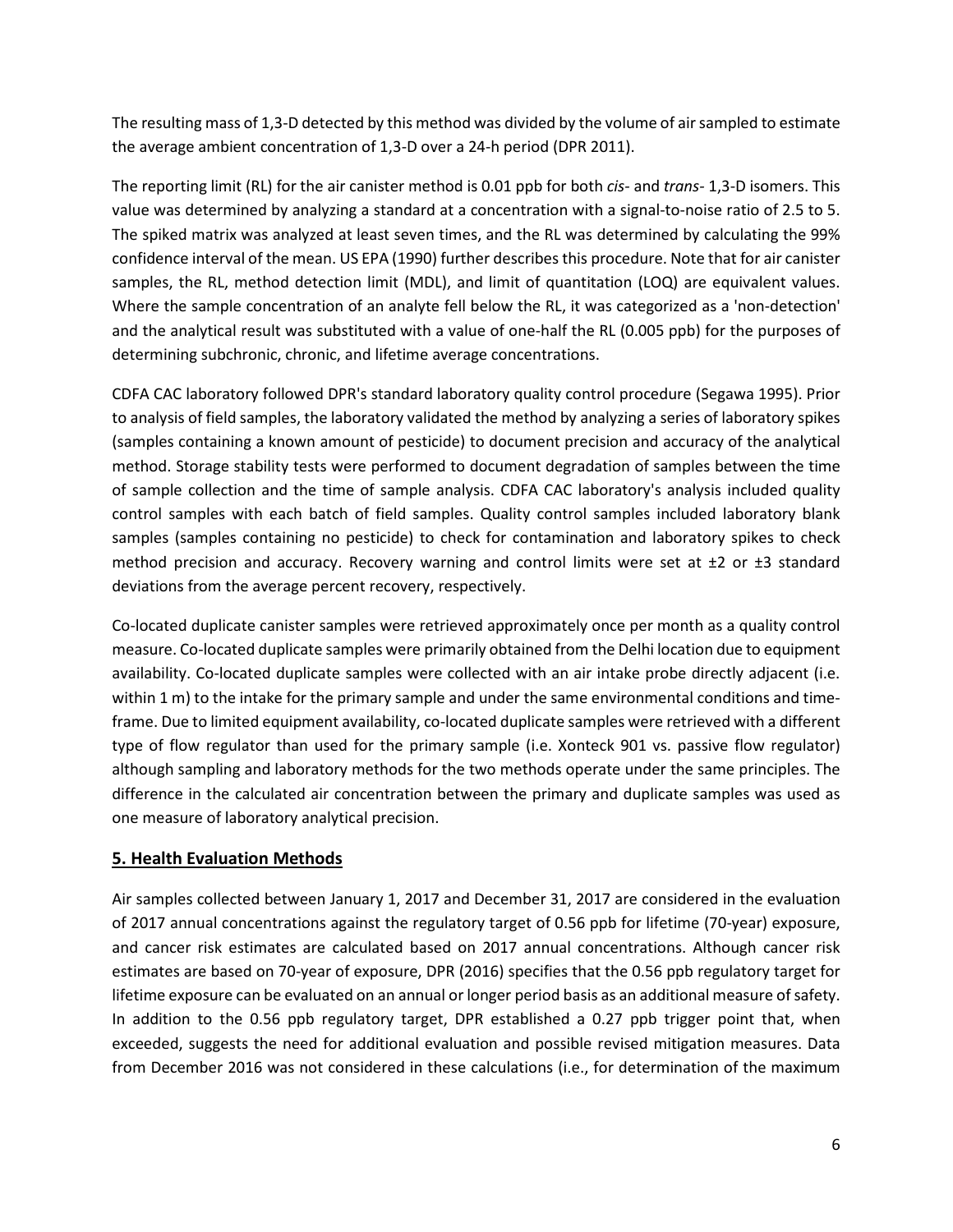The resulting mass of 1,3-D detected by this method was divided by the volume of air sampled to estimate the average ambient concentration of 1,3-D over a 24-h period (DPR 2011).

The reporting limit (RL) for the air canister method is 0.01 ppb for both *cis-* and *trans-* 1,3-D isomers. This value was determined by analyzing a standard at a concentration with a signal-to-noise ratio of 2.5 to 5. The spiked matrix was analyzed at least seven times, and the RL was determined by calculating the 99% confidence interval of the mean. US EPA (1990) further describes this procedure. Note that for air canister samples, the RL, method detection limit (MDL), and limit of quantitation (LOQ) are equivalent values. Where the sample concentration of an analyte fell below the RL, it was categorized as a 'non-detection' and the analytical result was substituted with a value of one-half the RL (0.005 ppb) for the purposes of determining subchronic, chronic, and lifetime average concentrations.

CDFA CAC laboratory followed DPR's standard laboratory quality control procedure (Segawa 1995). Prior to analysis of field samples, the laboratory validated the method by analyzing a series of laboratory spikes (samples containing a known amount of pesticide) to document precision and accuracy of the analytical method. Storage stability tests were performed to document degradation of samples between the time of sample collection and the time of sample analysis. CDFA CAC laboratory's analysis included quality control samples with each batch of field samples. Quality control samples included laboratory blank samples (samples containing no pesticide) to check for contamination and laboratory spikes to check method precision and accuracy. Recovery warning and control limits were set at  $\pm 2$  or  $\pm 3$  standard deviations from the average percent recovery, respectively.

Co-located duplicate canister samples were retrieved approximately once per month as a quality control measure. Co-located duplicate samples were primarily obtained from the Delhi location due to equipment availability. Co-located duplicate samples were collected with an air intake probe directly adjacent (i.e. within 1 m) to the intake for the primary sample and under the same environmental conditions and timeframe. Due to limited equipment availability, co-located duplicate samples were retrieved with a different type of flow regulator than used for the primary sample (i.e. Xonteck 901 vs. passive flow regulator) although sampling and laboratory methods for the two methods operate under the same principles. The difference in the calculated air concentration between the primary and duplicate samples was used as one measure of laboratory analytical precision.

#### **5. Health Evaluation Methods**

Air samples collected between January 1, 2017 and December 31, 2017 are considered in the evaluation of 2017 annual concentrations against the regulatory target of 0.56 ppb for lifetime (70-year) exposure, and cancer risk estimates are calculated based on 2017 annual concentrations. Although cancer risk estimates are based on 70-year of exposure, DPR (2016) specifies that the 0.56 ppb regulatory target for lifetime exposure can be evaluated on an annual or longer period basis as an additional measure of safety. In addition to the 0.56 ppb regulatory target, DPR established a 0.27 ppb trigger point that, when exceeded, suggests the need for additional evaluation and possible revised mitigation measures. Data from December 2016 was not considered in these calculations (i.e., for determination of the maximum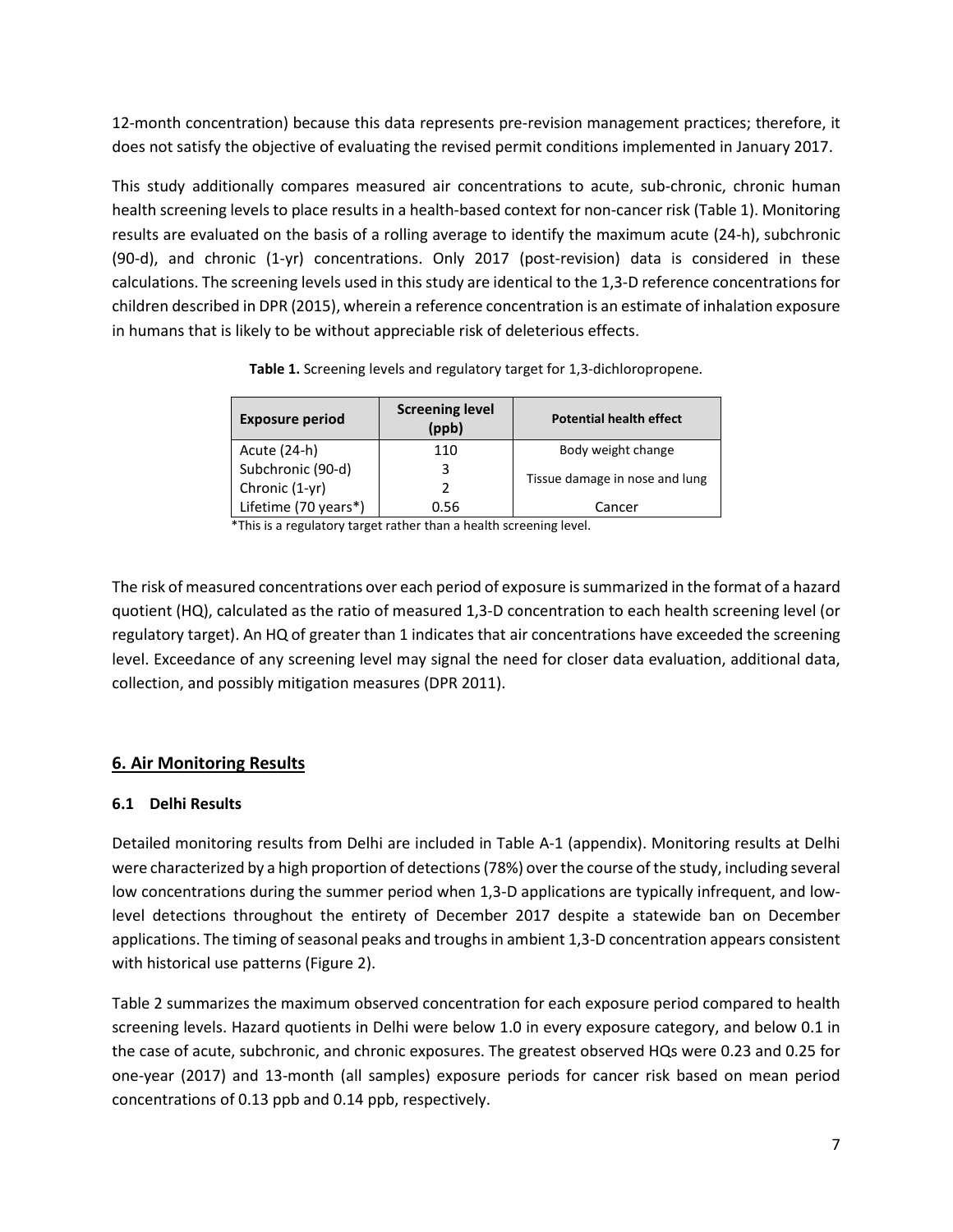12-month concentration) because this data represents pre-revision management practices; therefore, it does not satisfy the objective of evaluating the revised permit conditions implemented in January 2017.

This study additionally compares measured air concentrations to acute, sub-chronic, chronic human health screening levels to place results in a health-based context for non-cancer risk (Table 1). Monitoring results are evaluated on the basis of a rolling average to identify the maximum acute (24-h), subchronic (90-d), and chronic (1-yr) concentrations. Only 2017 (post-revision) data is considered in these calculations. The screening levels used in this study are identical to the 1,3-D reference concentrations for children described in DPR (2015), wherein a reference concentration is an estimate of inhalation exposure in humans that is likely to be without appreciable risk of deleterious effects.

| <b>Exposure period</b> | <b>Screening level</b><br>(ppb) | <b>Potential health effect</b> |
|------------------------|---------------------------------|--------------------------------|
| Acute (24-h)           | 110                             | Body weight change             |
| Subchronic (90-d)      |                                 |                                |
| Chronic (1-yr)         |                                 | Tissue damage in nose and lung |
| Lifetime (70 years*)   | 0.56                            | Cancer                         |

**Table 1.** Screening levels and regulatory target for 1,3-dichloropropene.

\*This is a regulatory target rather than a health screening level.

The risk of measured concentrations over each period of exposure issummarized in the format of a hazard quotient (HQ), calculated as the ratio of measured 1,3-D concentration to each health screening level (or regulatory target). An HQ of greater than 1 indicates that air concentrations have exceeded the screening level. Exceedance of any screening level may signal the need for closer data evaluation, additional data, collection, and possibly mitigation measures (DPR 2011).

# **6. Air Monitoring Results**

# **6.1 Delhi Results**

Detailed monitoring results from Delhi are included in Table A-1 (appendix). Monitoring results at Delhi were characterized by a high proportion of detections (78%) over the course of the study, including several low concentrations during the summer period when 1,3-D applications are typically infrequent, and lowlevel detections throughout the entirety of December 2017 despite a statewide ban on December applications. The timing of seasonal peaks and troughs in ambient 1,3-D concentration appears consistent with historical use patterns (Figure 2).

Table 2 summarizes the maximum observed concentration for each exposure period compared to health screening levels. Hazard quotients in Delhi were below 1.0 in every exposure category, and below 0.1 in the case of acute, subchronic, and chronic exposures. The greatest observed HQs were 0.23 and 0.25 for one-year (2017) and 13-month (all samples) exposure periods for cancer risk based on mean period concentrations of 0.13 ppb and 0.14 ppb, respectively.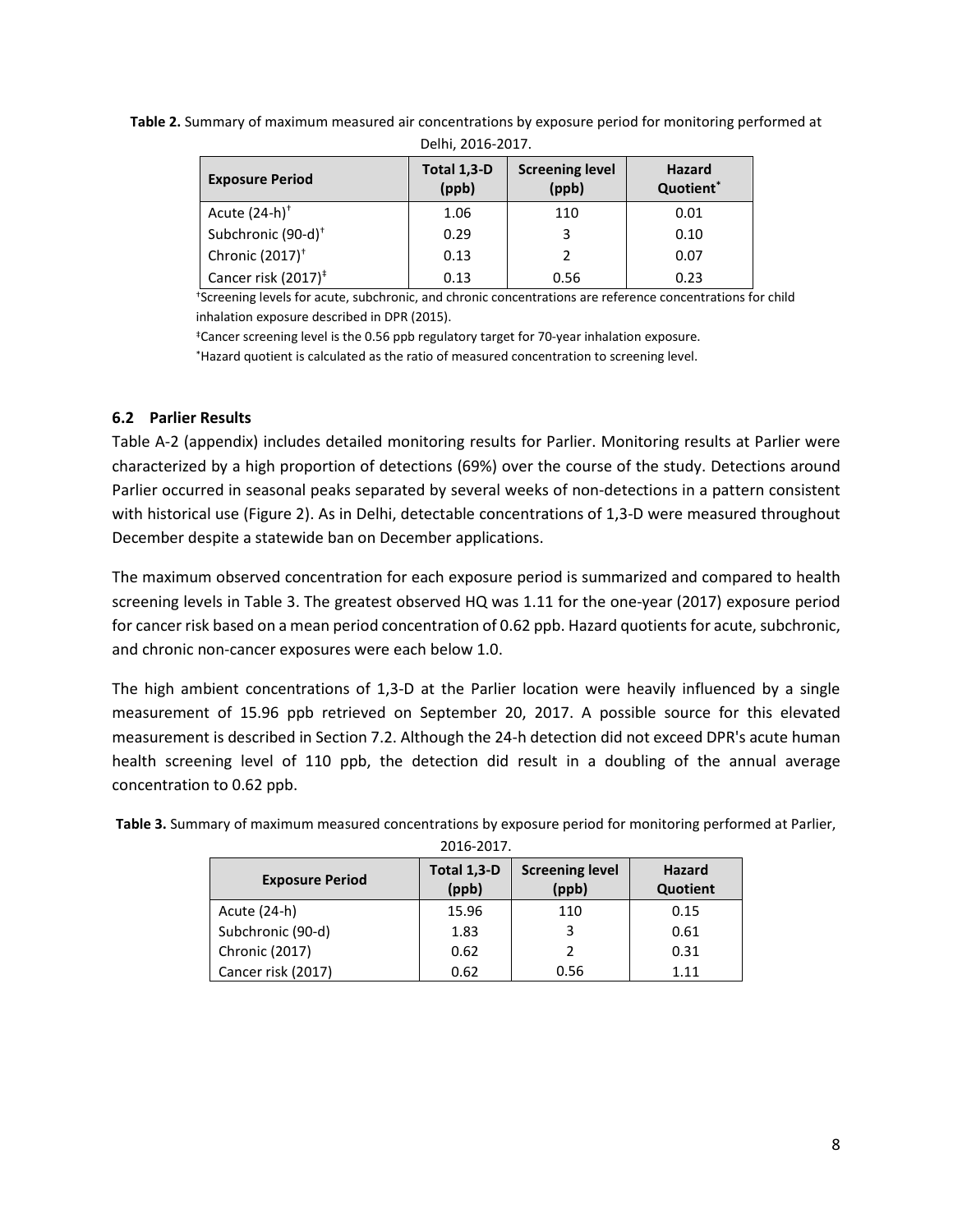| <b>Exposure Period</b>          | Total 1,3-D<br>(ppb) | <b>Screening level</b><br>(ppb) | Hazard<br>Quotient* |  |  |  |  |  |  |
|---------------------------------|----------------------|---------------------------------|---------------------|--|--|--|--|--|--|
| Acute $(24-h)^+$                | 1.06                 | 110                             | 0.01                |  |  |  |  |  |  |
| Subchronic (90-d) <sup>+</sup>  | 0.29                 | 3                               | 0.10                |  |  |  |  |  |  |
| Chronic (2017) <sup>+</sup>     | 0.13                 |                                 | 0.07                |  |  |  |  |  |  |
| Cancer risk (2017) <sup>‡</sup> | 0.13                 | 0.56                            | 0.23                |  |  |  |  |  |  |

**Table 2.** Summary of maximum measured air concentrations by exposure period for monitoring performed at Delhi, 2016-2017.

†Screening levels for acute, subchronic, and chronic concentrations are reference concentrations for child inhalation exposure described in DPR (2015).

‡Cancer screening level is the 0.56 ppb regulatory target for 70-year inhalation exposure.

\*Hazard quotient is calculated as the ratio of measured concentration to screening level.

#### **6.2 Parlier Results**

Table A-2 (appendix) includes detailed monitoring results for Parlier. Monitoring results at Parlier were characterized by a high proportion of detections (69%) over the course of the study. Detections around Parlier occurred in seasonal peaks separated by several weeks of non-detections in a pattern consistent with historical use (Figure 2). As in Delhi, detectable concentrations of 1,3-D were measured throughout December despite a statewide ban on December applications.

The maximum observed concentration for each exposure period is summarized and compared to health screening levels in Table 3. The greatest observed HQ was 1.11 for the one-year (2017) exposure period for cancer risk based on a mean period concentration of 0.62 ppb. Hazard quotients for acute, subchronic, and chronic non-cancer exposures were each below 1.0.

The high ambient concentrations of 1,3-D at the Parlier location were heavily influenced by a single measurement of 15.96 ppb retrieved on September 20, 2017. A possible source for this elevated measurement is described in Section 7.2. Although the 24-h detection did not exceed DPR's acute human health screening level of 110 ppb, the detection did result in a doubling of the annual average concentration to 0.62 ppb.

| <b>Exposure Period</b> | Total 1,3-D<br>(ppb) | <b>Screening level</b><br>(ppb) | <b>Hazard</b><br>Quotient |  |  |  |  |  |  |
|------------------------|----------------------|---------------------------------|---------------------------|--|--|--|--|--|--|
| Acute (24-h)           | 15.96                | 110                             | 0.15                      |  |  |  |  |  |  |
| Subchronic (90-d)      | 1.83                 |                                 | 0.61                      |  |  |  |  |  |  |
| Chronic (2017)         | 0.62                 |                                 | 0.31                      |  |  |  |  |  |  |
| Cancer risk (2017)     | 0.62                 | 0.56                            | 1.11                      |  |  |  |  |  |  |

**Table 3.** Summary of maximum measured concentrations by exposure period for monitoring performed at Parlier, 2016-2017.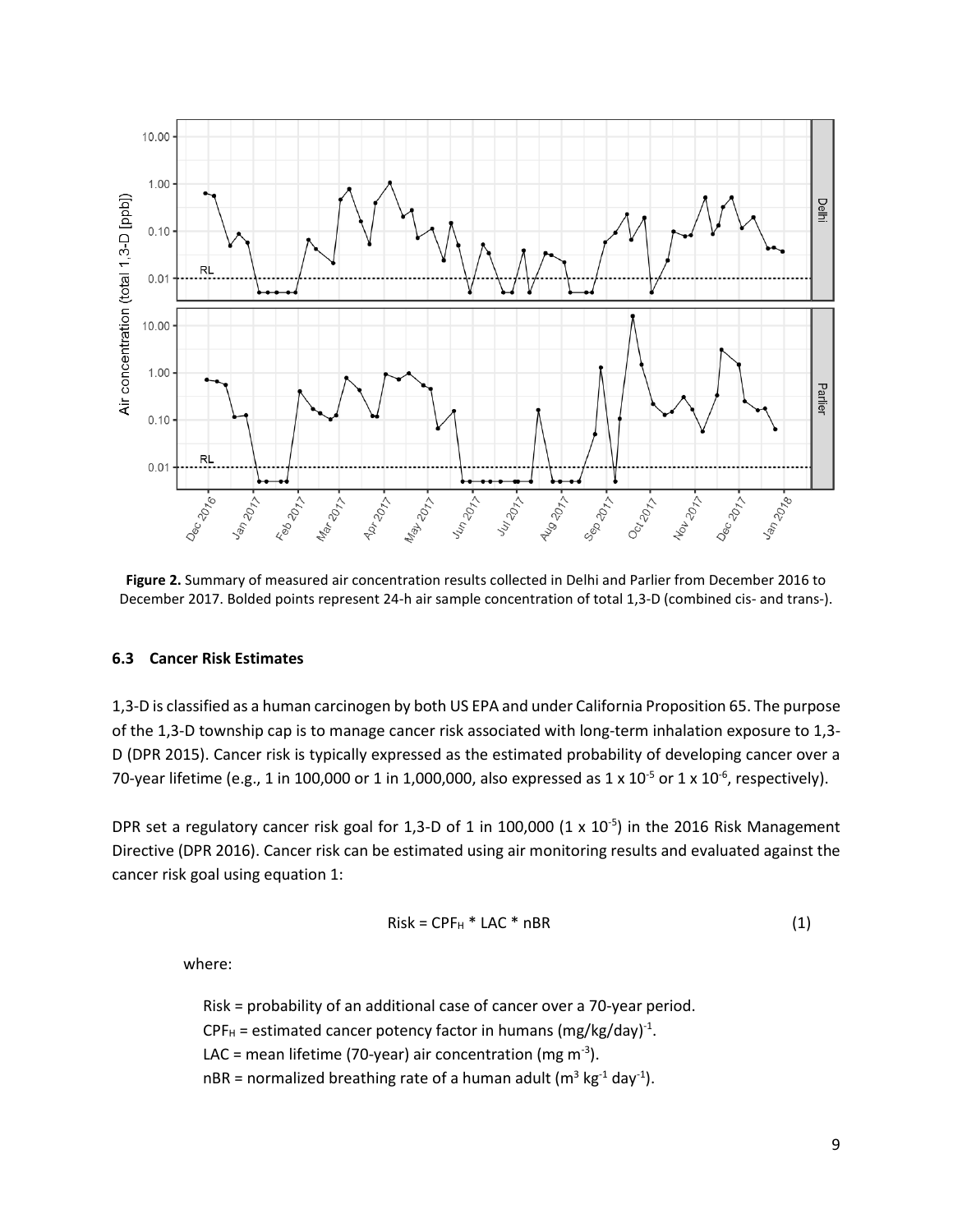

**Figure 2.** Summary of measured air concentration results collected in Delhi and Parlier from December 2016 to December 2017. Bolded points represent 24-h air sample concentration of total 1,3-D (combined cis- and trans-).

#### **6.3 Cancer Risk Estimates**

1,3-D is classified as a human carcinogen by both US EPA and under California Proposition 65. The purpose of the 1,3-D township cap is to manage cancer risk associated with long-term inhalation exposure to 1,3- D (DPR 2015). Cancer risk is typically expressed as the estimated probability of developing cancer over a 70-year lifetime (e.g., 1 in 100,000 or 1 in 1,000,000, also expressed as 1 x 10<sup>-5</sup> or 1 x 10<sup>-6</sup>, respectively).

DPR set a regulatory cancer risk goal for 1,3-D of 1 in 100,000  $(1 \times 10^{-5})$  in the 2016 Risk Management Directive (DPR 2016). Cancer risk can be estimated using air monitoring results and evaluated against the cancer risk goal using equation 1:

$$
Risk = CPF_H * LAC * nBR
$$
 (1)

where:

Risk = probability of an additional case of cancer over a 70-year period.  $\text{CPF}_{\text{H}}$  = estimated cancer potency factor in humans (mg/kg/day)<sup>-1</sup>. LAC = mean lifetime (70-year) air concentration (mg m<sup>-3</sup>). nBR = normalized breathing rate of a human adult ( $m^3$  kg<sup>-1</sup> day<sup>-1</sup>).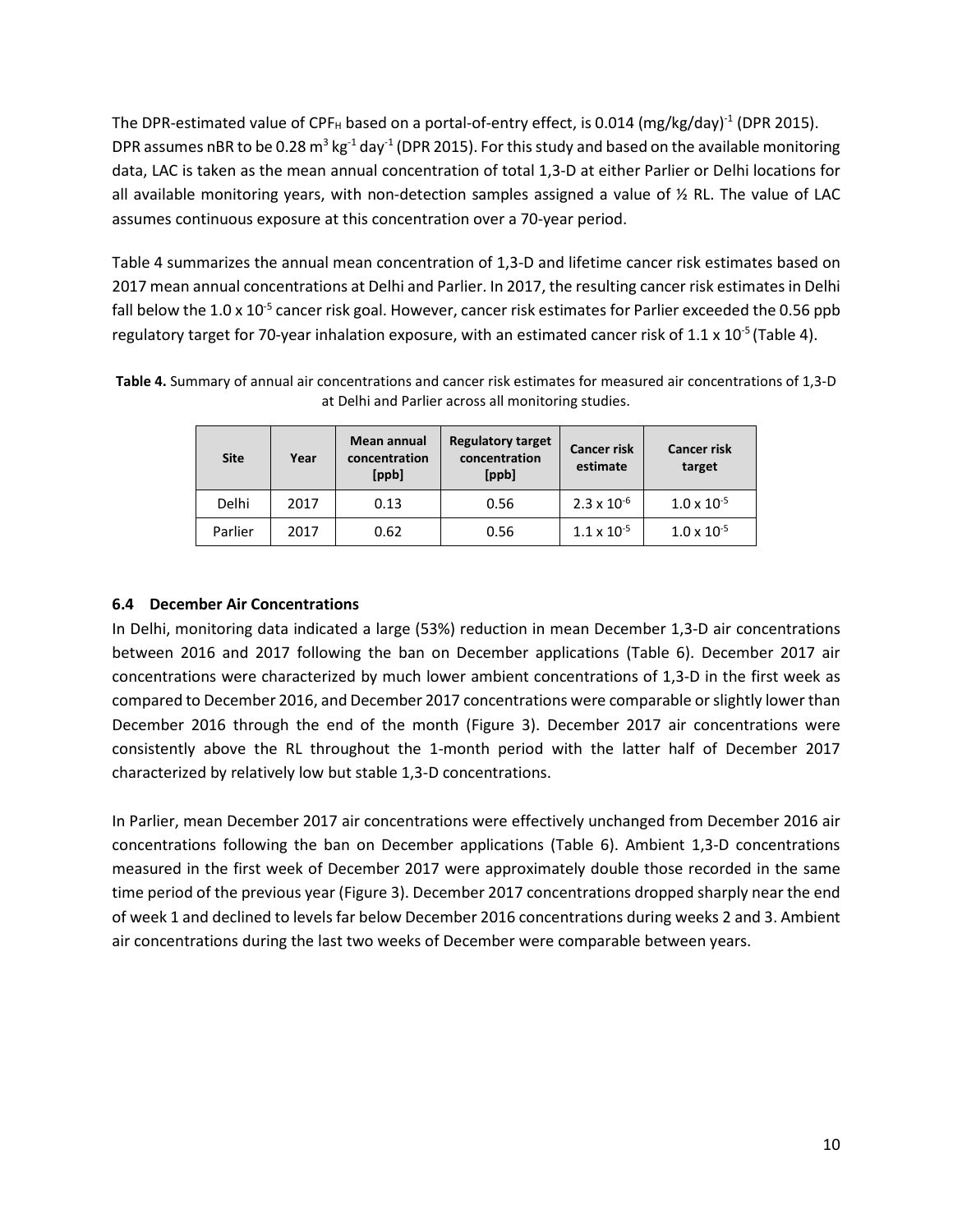The DPR-estimated value of CPF<sub>H</sub> based on a portal-of-entry effect, is 0.014 (mg/kg/day)<sup>-1</sup> (DPR 2015). DPR assumes nBR to be 0.28 m<sup>3</sup> kg<sup>-1</sup> day<sup>-1</sup> (DPR 2015). For this study and based on the available monitoring data, LAC is taken as the mean annual concentration of total 1,3-D at either Parlier or Delhi locations for all available monitoring years, with non-detection samples assigned a value of  $\frac{1}{2}$  RL. The value of LAC assumes continuous exposure at this concentration over a 70-year period.

Table 4 summarizes the annual mean concentration of 1,3-D and lifetime cancer risk estimates based on 2017 mean annual concentrations at Delhi and Parlier. In 2017, the resulting cancer risk estimates in Delhi fall below the 1.0 x 10<sup>-5</sup> cancer risk goal. However, cancer risk estimates for Parlier exceeded the 0.56 ppb regulatory target for 70-year inhalation exposure, with an estimated cancer risk of  $1.1 \times 10^{-5}$  (Table 4).

| <b>Site</b> | Year | Mean annual<br>concentration<br>[ppb] | <b>Regulatory target</b><br>concentration<br>[ppb] | <b>Cancer risk</b><br>estimate | <b>Cancer risk</b><br>target |
|-------------|------|---------------------------------------|----------------------------------------------------|--------------------------------|------------------------------|
| Delhi       | 2017 | 0.13                                  | 0.56                                               | $2.3 \times 10^{-6}$           | $1.0 \times 10^{-5}$         |
| Parlier     | 2017 | 0.62                                  | 0.56                                               | $1.1 \times 10^{-5}$           | $1.0 \times 10^{-5}$         |

**Table 4.** Summary of annual air concentrations and cancer risk estimates for measured air concentrations of 1,3-D at Delhi and Parlier across all monitoring studies.

#### **6.4 December Air Concentrations**

In Delhi, monitoring data indicated a large (53%) reduction in mean December 1,3-D air concentrations between 2016 and 2017 following the ban on December applications (Table 6). December 2017 air concentrations were characterized by much lower ambient concentrations of 1,3-D in the first week as compared to December 2016, and December 2017 concentrations were comparable or slightly lower than December 2016 through the end of the month (Figure 3). December 2017 air concentrations were consistently above the RL throughout the 1-month period with the latter half of December 2017 characterized by relatively low but stable 1,3-D concentrations.

In Parlier, mean December 2017 air concentrations were effectively unchanged from December 2016 air concentrations following the ban on December applications (Table 6). Ambient 1,3-D concentrations measured in the first week of December 2017 were approximately double those recorded in the same time period of the previous year (Figure 3). December 2017 concentrations dropped sharply near the end of week 1 and declined to levels far below December 2016 concentrations during weeks 2 and 3. Ambient air concentrations during the last two weeks of December were comparable between years.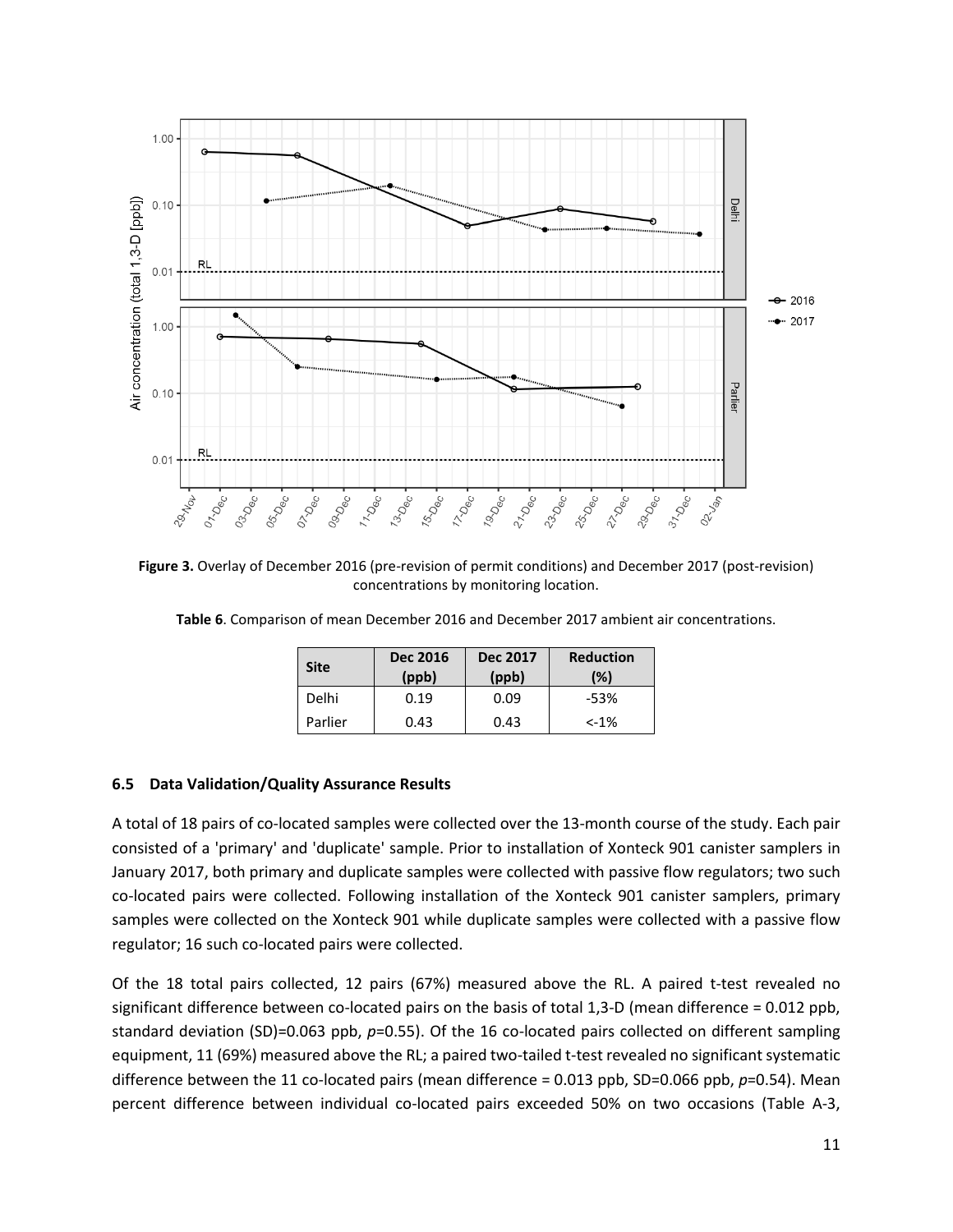

**Figure 3.** Overlay of December 2016 (pre-revision of permit conditions) and December 2017 (post-revision) concentrations by monitoring location.

|  |  |  |  |  |  |  |  |  | Table 6. Comparison of mean December 2016 and December 2017 ambient air concentrations. |  |
|--|--|--|--|--|--|--|--|--|-----------------------------------------------------------------------------------------|--|
|--|--|--|--|--|--|--|--|--|-----------------------------------------------------------------------------------------|--|

| <b>Site</b> | <b>Dec 2016</b><br>(ppb) | <b>Dec 2017</b><br>(ppb) | <b>Reduction</b><br>(%) |
|-------------|--------------------------|--------------------------|-------------------------|
| Delhi       | 0.19                     | 0.09                     | $-53%$                  |
| Parlier     | 0.43                     | 0.43                     | $< -1\%$                |

#### **6.5 Data Validation/Quality Assurance Results**

A total of 18 pairs of co-located samples were collected over the 13-month course of the study. Each pair consisted of a 'primary' and 'duplicate' sample. Prior to installation of Xonteck 901 canister samplers in January 2017, both primary and duplicate samples were collected with passive flow regulators; two such co-located pairs were collected. Following installation of the Xonteck 901 canister samplers, primary samples were collected on the Xonteck 901 while duplicate samples were collected with a passive flow regulator; 16 such co-located pairs were collected.

Of the 18 total pairs collected, 12 pairs (67%) measured above the RL. A paired t-test revealed no significant difference between co-located pairs on the basis of total 1,3-D (mean difference = 0.012 ppb, standard deviation (SD)=0.063 ppb, *p*=0.55). Of the 16 co-located pairs collected on different sampling equipment, 11 (69%) measured above the RL; a paired two-tailed t-test revealed no significant systematic difference between the 11 co-located pairs (mean difference = 0.013 ppb, SD=0.066 ppb, p=0.54). Mean percent difference between individual co-located pairs exceeded 50% on two occasions (Table A-3,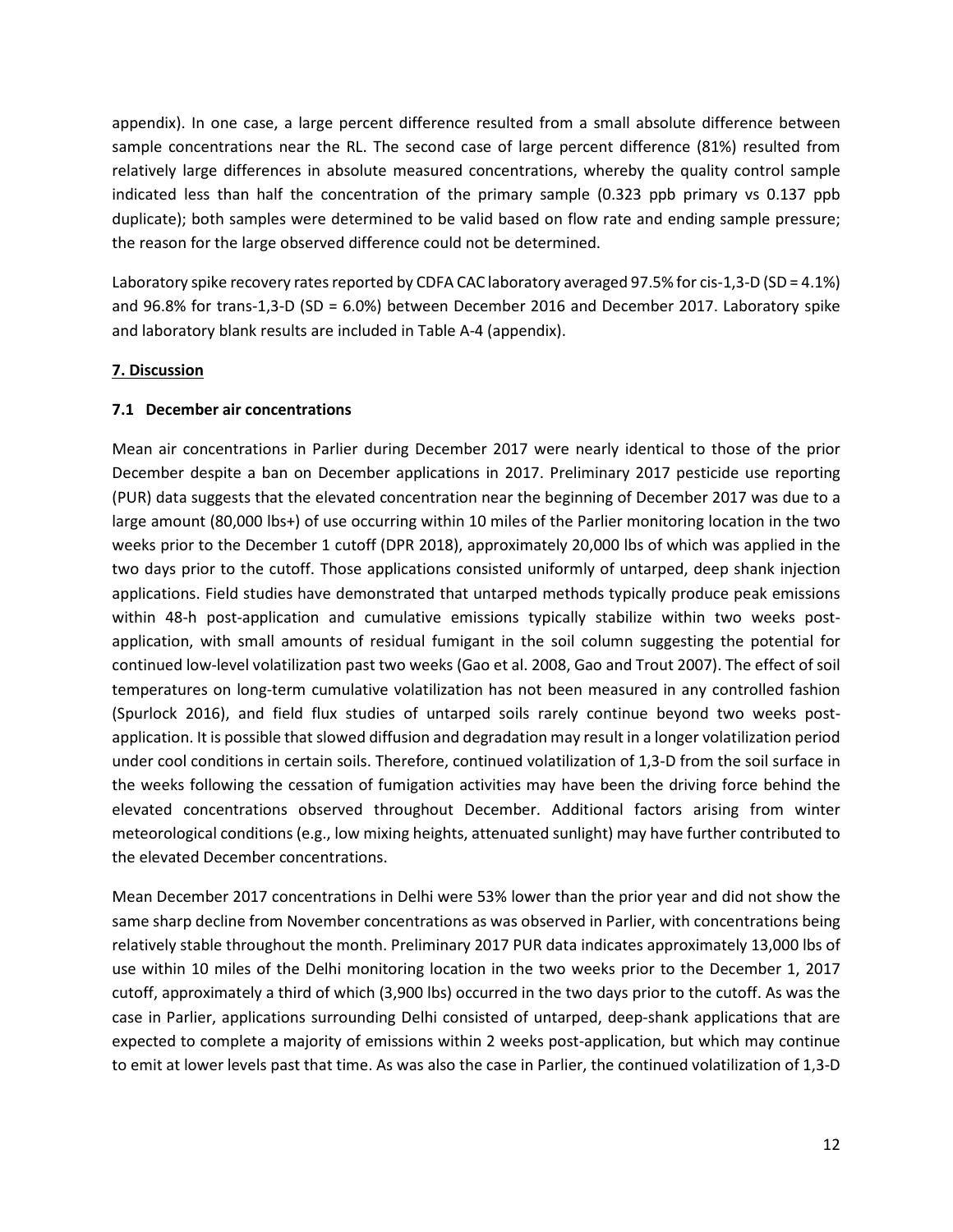appendix). In one case, a large percent difference resulted from a small absolute difference between sample concentrations near the RL. The second case of large percent difference (81%) resulted from relatively large differences in absolute measured concentrations, whereby the quality control sample indicated less than half the concentration of the primary sample (0.323 ppb primary vs 0.137 ppb duplicate); both samples were determined to be valid based on flow rate and ending sample pressure; the reason for the large observed difference could not be determined.

Laboratory spike recovery rates reported by CDFA CAC laboratory averaged 97.5% for cis-1,3-D (SD = 4.1%) and 96.8% for trans-1,3-D (SD = 6.0%) between December 2016 and December 2017. Laboratory spike and laboratory blank results are included in Table A-4 (appendix).

#### **7. Discussion**

#### **7.1 December air concentrations**

Mean air concentrations in Parlier during December 2017 were nearly identical to those of the prior December despite a ban on December applications in 2017. Preliminary 2017 pesticide use reporting (PUR) data suggests that the elevated concentration near the beginning of December 2017 was due to a large amount (80,000 lbs+) of use occurring within 10 miles of the Parlier monitoring location in the two weeks prior to the December 1 cutoff (DPR 2018), approximately 20,000 lbs of which was applied in the two days prior to the cutoff. Those applications consisted uniformly of untarped, deep shank injection applications. Field studies have demonstrated that untarped methods typically produce peak emissions within 48-h post-application and cumulative emissions typically stabilize within two weeks postapplication, with small amounts of residual fumigant in the soil column suggesting the potential for continued low-level volatilization past two weeks (Gao et al. 2008, Gao and Trout 2007). The effect of soil temperatures on long-term cumulative volatilization has not been measured in any controlled fashion (Spurlock 2016), and field flux studies of untarped soils rarely continue beyond two weeks postapplication. It is possible that slowed diffusion and degradation may result in a longer volatilization period under cool conditions in certain soils. Therefore, continued volatilization of 1,3-D from the soil surface in the weeks following the cessation of fumigation activities may have been the driving force behind the elevated concentrations observed throughout December. Additional factors arising from winter meteorological conditions (e.g., low mixing heights, attenuated sunlight) may have further contributed to the elevated December concentrations.

Mean December 2017 concentrations in Delhi were 53% lower than the prior year and did not show the same sharp decline from November concentrations as was observed in Parlier, with concentrations being relatively stable throughout the month. Preliminary 2017 PUR data indicates approximately 13,000 lbs of use within 10 miles of the Delhi monitoring location in the two weeks prior to the December 1, 2017 cutoff, approximately a third of which (3,900 lbs) occurred in the two days prior to the cutoff. As was the case in Parlier, applications surrounding Delhi consisted of untarped, deep-shank applications that are expected to complete a majority of emissions within 2 weeks post-application, but which may continue to emit at lower levels past that time. As was also the case in Parlier, the continued volatilization of 1,3-D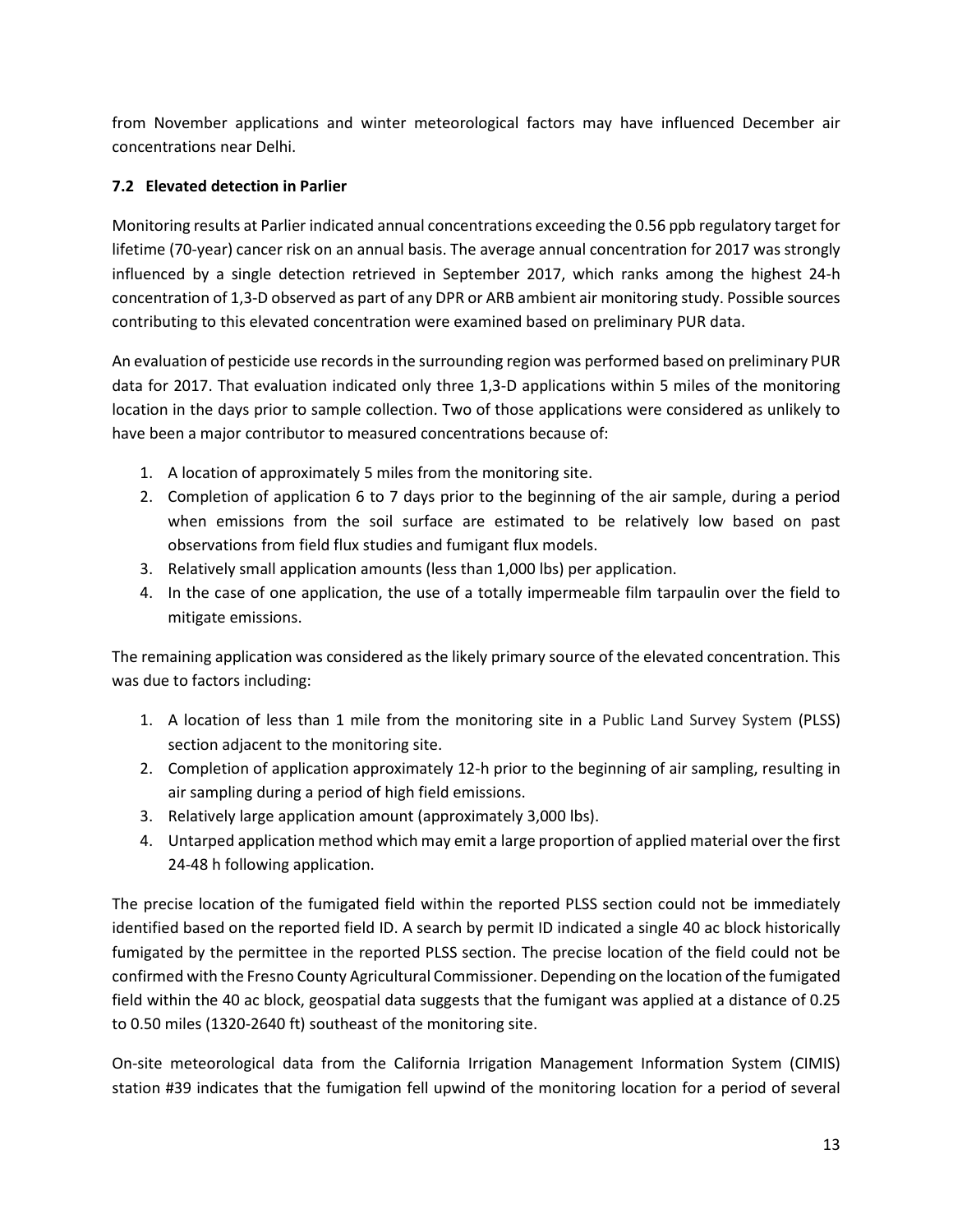from November applications and winter meteorological factors may have influenced December air concentrations near Delhi.

### **7.2 Elevated detection in Parlier**

Monitoring results at Parlier indicated annual concentrations exceeding the 0.56 ppb regulatory target for lifetime (70-year) cancer risk on an annual basis. The average annual concentration for 2017 was strongly influenced by a single detection retrieved in September 2017, which ranks among the highest 24-h concentration of 1,3-D observed as part of any DPR or ARB ambient air monitoring study. Possible sources contributing to this elevated concentration were examined based on preliminary PUR data.

An evaluation of pesticide use records in the surrounding region was performed based on preliminary PUR data for 2017. That evaluation indicated only three 1,3-D applications within 5 miles of the monitoring location in the days prior to sample collection. Two of those applications were considered as unlikely to have been a major contributor to measured concentrations because of:

- 1. A location of approximately 5 miles from the monitoring site.
- 2. Completion of application 6 to 7 days prior to the beginning of the air sample, during a period when emissions from the soil surface are estimated to be relatively low based on past observations from field flux studies and fumigant flux models.
- 3. Relatively small application amounts (less than 1,000 lbs) per application.
- 4. In the case of one application, the use of a totally impermeable film tarpaulin over the field to mitigate emissions.

The remaining application was considered as the likely primary source of the elevated concentration. This was due to factors including:

- 1. A location of less than 1 mile from the monitoring site in a Public Land Survey System (PLSS) section adjacent to the monitoring site.
- 2. Completion of application approximately 12-h prior to the beginning of air sampling, resulting in air sampling during a period of high field emissions.
- 3. Relatively large application amount (approximately 3,000 lbs).
- 4. Untarped application method which may emit a large proportion of applied material over the first 24-48 h following application.

The precise location of the fumigated field within the reported PLSS section could not be immediately identified based on the reported field ID. A search by permit ID indicated a single 40 ac block historically fumigated by the permittee in the reported PLSS section. The precise location of the field could not be confirmed with the Fresno County Agricultural Commissioner. Depending on the location of the fumigated field within the 40 ac block, geospatial data suggests that the fumigant was applied at a distance of 0.25 to 0.50 miles (1320-2640 ft) southeast of the monitoring site.

On-site meteorological data from the California Irrigation Management Information System (CIMIS) station #39 indicates that the fumigation fell upwind of the monitoring location for a period of several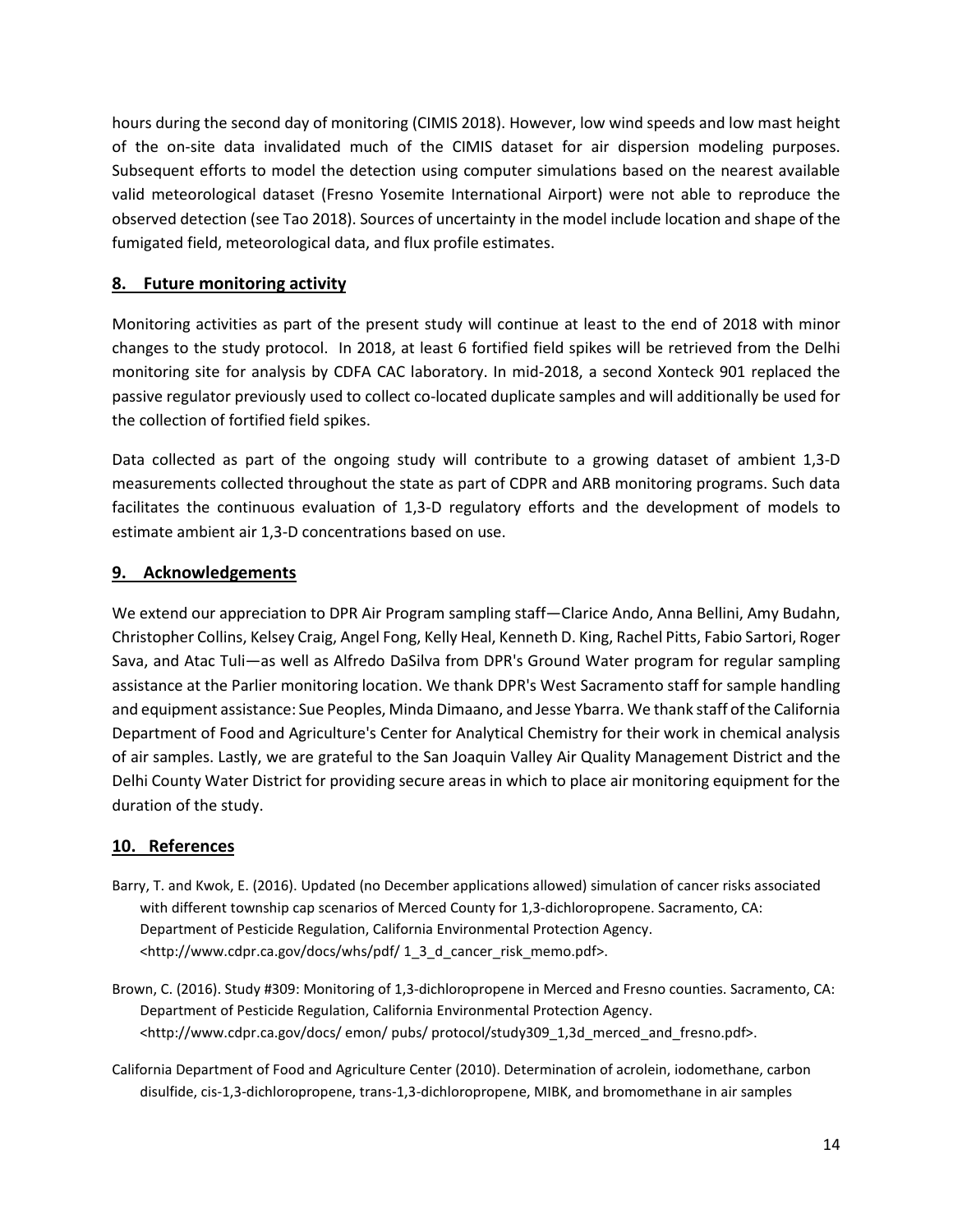hours during the second day of monitoring (CIMIS 2018). However, low wind speeds and low mast height of the on-site data invalidated much of the CIMIS dataset for air dispersion modeling purposes. Subsequent efforts to model the detection using computer simulations based on the nearest available valid meteorological dataset (Fresno Yosemite International Airport) were not able to reproduce the observed detection (see Tao 2018). Sources of uncertainty in the model include location and shape of the fumigated field, meteorological data, and flux profile estimates.

### **8. Future monitoring activity**

Monitoring activities as part of the present study will continue at least to the end of 2018 with minor changes to the study protocol. In 2018, at least 6 fortified field spikes will be retrieved from the Delhi monitoring site for analysis by CDFA CAC laboratory. In mid-2018, a second Xonteck 901 replaced the passive regulator previously used to collect co-located duplicate samples and will additionally be used for the collection of fortified field spikes.

Data collected as part of the ongoing study will contribute to a growing dataset of ambient 1,3-D measurements collected throughout the state as part of CDPR and ARB monitoring programs. Such data facilitates the continuous evaluation of 1,3-D regulatory efforts and the development of models to estimate ambient air 1,3-D concentrations based on use.

## **9. Acknowledgements**

We extend our appreciation to DPR Air Program sampling staff—Clarice Ando, Anna Bellini, Amy Budahn, Christopher Collins, Kelsey Craig, Angel Fong, Kelly Heal, Kenneth D. King, Rachel Pitts, Fabio Sartori, Roger Sava, and Atac Tuli—as well as Alfredo DaSilva from DPR's Ground Water program for regular sampling assistance at the Parlier monitoring location. We thank DPR's West Sacramento staff for sample handling and equipment assistance: Sue Peoples, Minda Dimaano, and Jesse Ybarra. We thank staff of the California Department of Food and Agriculture's Center for Analytical Chemistry for their work in chemical analysis of air samples. Lastly, we are grateful to the San Joaquin Valley Air Quality Management District and the Delhi County Water District for providing secure areas in which to place air monitoring equipment for the duration of the study.

# **10. References**

- Barry, T. and Kwok, E. (2016). Updated (no December applications allowed) simulation of cancer risks associated with different township cap scenarios of Merced County for 1,3-dichloropropene. Sacramento, CA: Department of Pesticide Regulation, California Environmental Protection Agency. <http://www.cdpr.ca.gov/docs/whs/pdf/ 1\_3\_d\_cancer\_risk\_memo.pdf>.
- Brown, C. (2016). Study #309: Monitoring of 1,3-dichloropropene in Merced and Fresno counties. Sacramento, CA: Department of Pesticide Regulation, California Environmental Protection Agency. <http://www.cdpr.ca.gov/docs/ emon/ pubs/ protocol/study309\_1,3d\_merced\_and\_fresno.pdf>.
- California Department of Food and Agriculture Center (2010). Determination of acrolein, iodomethane, carbon disulfide, cis-1,3-dichloropropene, trans-1,3-dichloropropene, MIBK, and bromomethane in air samples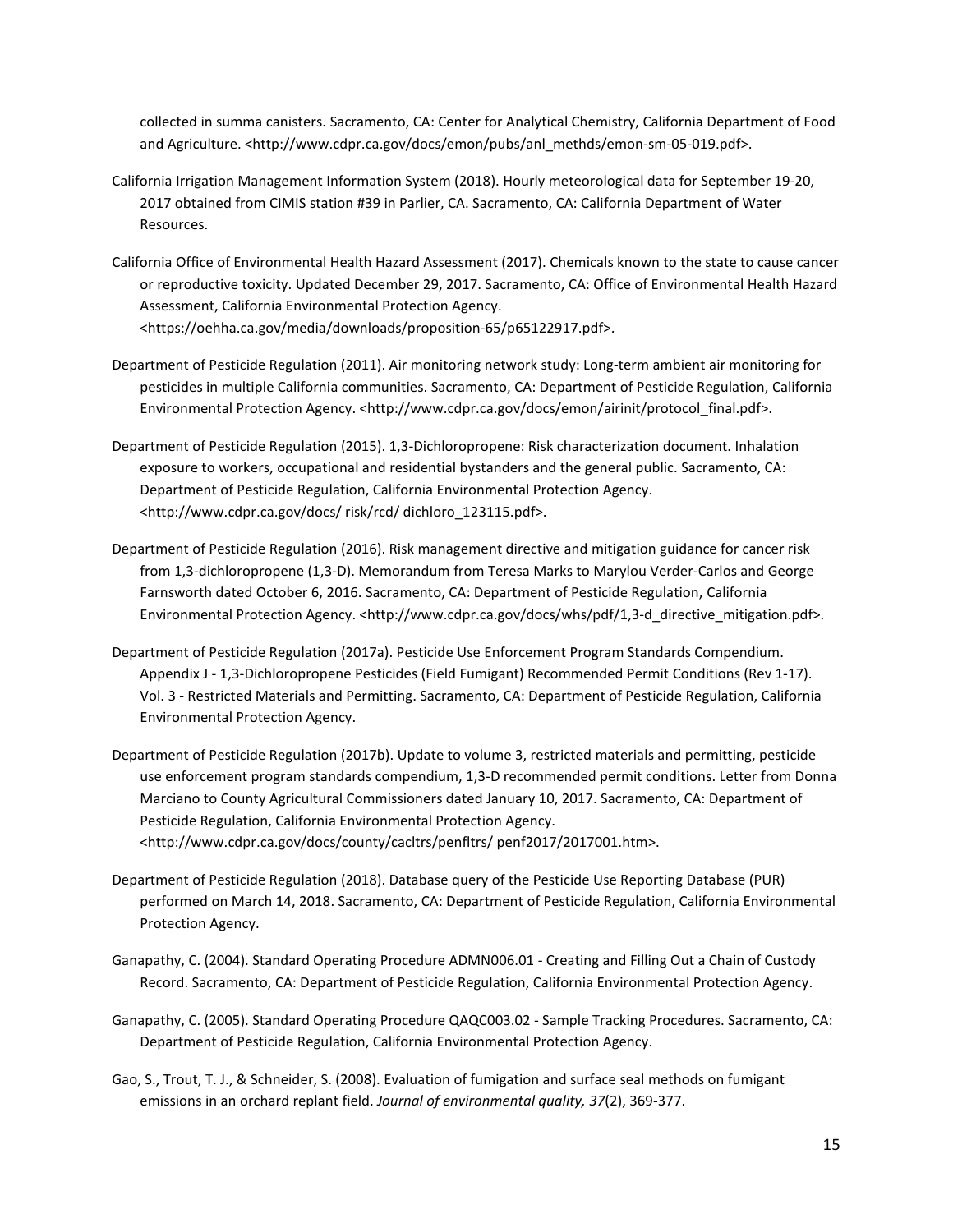collected in summa canisters. Sacramento, CA: Center for Analytical Chemistry, California Department of Food and Agriculture. <http://www.cdpr.ca.gov/docs/emon/pubs/anl\_methds/emon-sm-05-019.pdf>.

- California Irrigation Management Information System (2018). Hourly meteorological data for September 19-20, 2017 obtained from CIMIS station #39 in Parlier, CA. Sacramento, CA: California Department of Water Resources.
- California Office of Environmental Health Hazard Assessment (2017). Chemicals known to the state to cause cancer or reproductive toxicity. Updated December 29, 2017. Sacramento, CA: Office of Environmental Health Hazard Assessment, California Environmental Protection Agency. <https://oehha.ca.gov/media/downloads/proposition-65/p65122917.pdf>.
- Department of Pesticide Regulation (2011). Air monitoring network study: Long-term ambient air monitoring for pesticides in multiple California communities. Sacramento, CA: Department of Pesticide Regulation, California Environmental Protection Agency. <http://www.cdpr.ca.gov/docs/emon/airinit/protocol\_final.pdf>.
- Department of Pesticide Regulation (2015). 1,3-Dichloropropene: Risk characterization document. Inhalation exposure to workers, occupational and residential bystanders and the general public. Sacramento, CA: Department of Pesticide Regulation, California Environmental Protection Agency. <http://www.cdpr.ca.gov/docs/ risk/rcd/ dichloro\_123115.pdf>.
- Department of Pesticide Regulation (2016). Risk management directive and mitigation guidance for cancer risk from 1,3-dichloropropene (1,3-D). Memorandum from Teresa Marks to Marylou Verder-Carlos and George Farnsworth dated October 6, 2016. Sacramento, CA: Department of Pesticide Regulation, California Environmental Protection Agency. <http://www.cdpr.ca.gov/docs/whs/pdf/1,3-d\_directive\_mitigation.pdf>.
- Department of Pesticide Regulation (2017a). Pesticide Use Enforcement Program Standards Compendium. Appendix J - 1,3-Dichloropropene Pesticides (Field Fumigant) Recommended Permit Conditions (Rev 1-17). Vol. 3 - Restricted Materials and Permitting. Sacramento, CA: Department of Pesticide Regulation, California Environmental Protection Agency.
- Department of Pesticide Regulation (2017b). Update to volume 3, restricted materials and permitting, pesticide use enforcement program standards compendium, 1,3-D recommended permit conditions. Letter from Donna Marciano to County Agricultural Commissioners dated January 10, 2017. Sacramento, CA: Department of Pesticide Regulation, California Environmental Protection Agency. <http://www.cdpr.ca.gov/docs/county/cacltrs/penfltrs/ penf2017/2017001.htm>.
- Department of Pesticide Regulation (2018). Database query of the Pesticide Use Reporting Database (PUR) performed on March 14, 2018. Sacramento, CA: Department of Pesticide Regulation, California Environmental Protection Agency.
- Ganapathy, C. (2004). Standard Operating Procedure ADMN006.01 Creating and Filling Out a Chain of Custody Record. Sacramento, CA: Department of Pesticide Regulation, California Environmental Protection Agency.
- Ganapathy, C. (2005). Standard Operating Procedure QAQC003.02 Sample Tracking Procedures. Sacramento, CA: Department of Pesticide Regulation, California Environmental Protection Agency.
- Gao, S., Trout, T. J., & Schneider, S. (2008). Evaluation of fumigation and surface seal methods on fumigant emissions in an orchard replant field. *Journal of environmental quality, 37*(2), 369-377.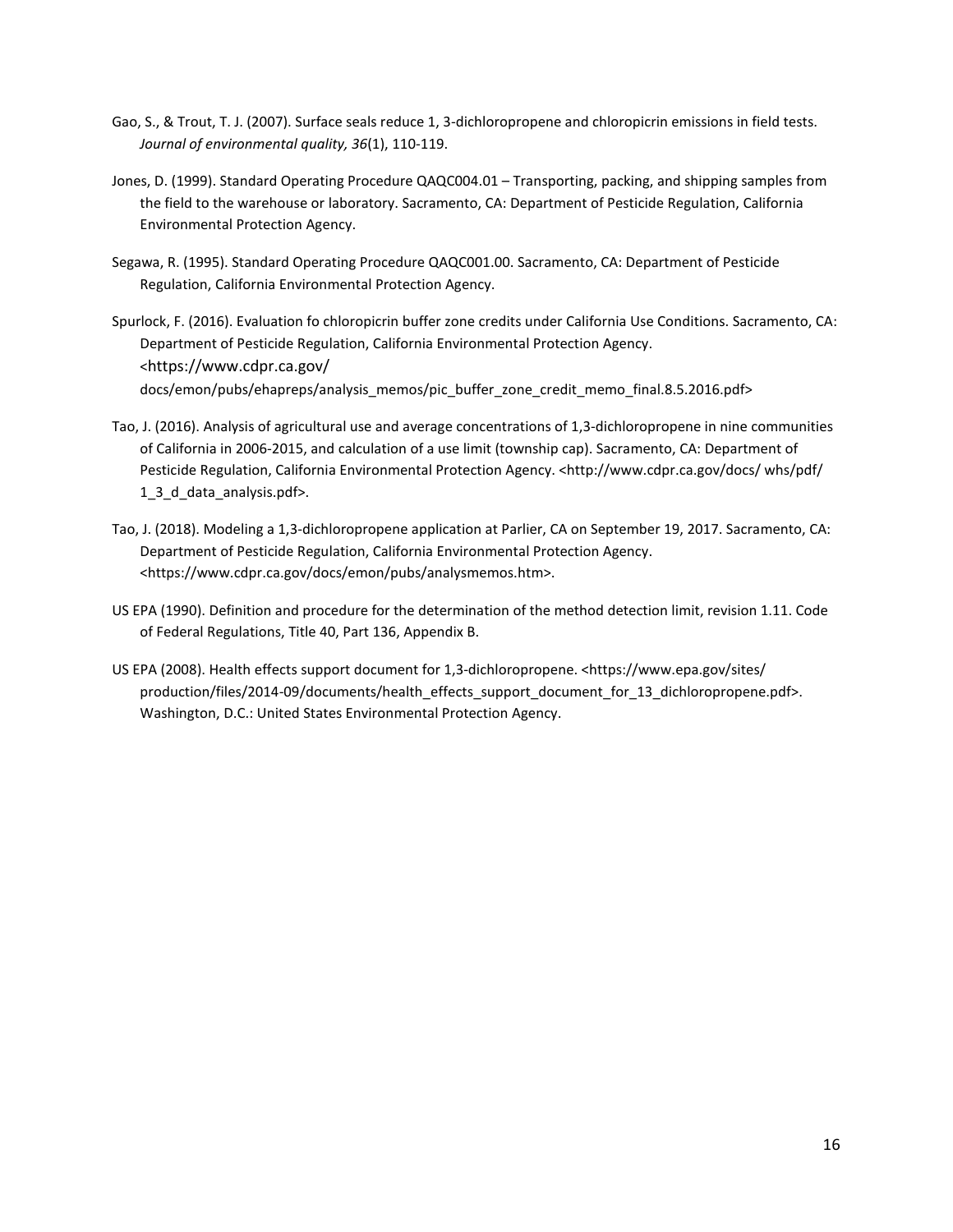- Gao, S., & Trout, T. J. (2007). Surface seals reduce 1, 3-dichloropropene and chloropicrin emissions in field tests. *Journal of environmental quality, 36*(1), 110-119.
- Jones, D. (1999). Standard Operating Procedure QAQC004.01 Transporting, packing, and shipping samples from the field to the warehouse or laboratory. Sacramento, CA: Department of Pesticide Regulation, California Environmental Protection Agency.
- Segawa, R. (1995). Standard Operating Procedure QAQC001.00. Sacramento, CA: Department of Pesticide Regulation, California Environmental Protection Agency.
- Spurlock, F. (2016). Evaluation fo chloropicrin buffer zone credits under California Use Conditions. Sacramento, CA: Department of Pesticide Regulation, California Environmental Protection Agency. <https://www.cdpr.ca.gov/ docs/emon/pubs/ehapreps/analysis\_memos/pic\_buffer\_zone\_credit\_memo\_final.8.5.2016.pdf>
- Tao, J. (2016). Analysis of agricultural use and average concentrations of 1,3-dichloropropene in nine communities of California in 2006-2015, and calculation of a use limit (township cap). Sacramento, CA: Department of Pesticide Regulation, California Environmental Protection Agency. <http://www.cdpr.ca.gov/docs/ whs/pdf/ 1\_3\_d\_data\_analysis.pdf>.
- Tao, J. (2018). Modeling a 1,3-dichloropropene application at Parlier, CA on September 19, 2017. Sacramento, CA: Department of Pesticide Regulation, California Environmental Protection Agency. <https://www.cdpr.ca.gov/docs/emon/pubs/analysmemos.htm>.
- US EPA (1990). Definition and procedure for the determination of the method detection limit, revision 1.11. Code of Federal Regulations, Title 40, Part 136, Appendix B.
- US EPA (2008). Health effects support document for 1,3-dichloropropene. <https://www.epa.gov/sites/ production/files/2014-09/documents/health\_effects\_support\_document\_for\_13\_dichloropropene.pdf>. Washington, D.C.: United States Environmental Protection Agency.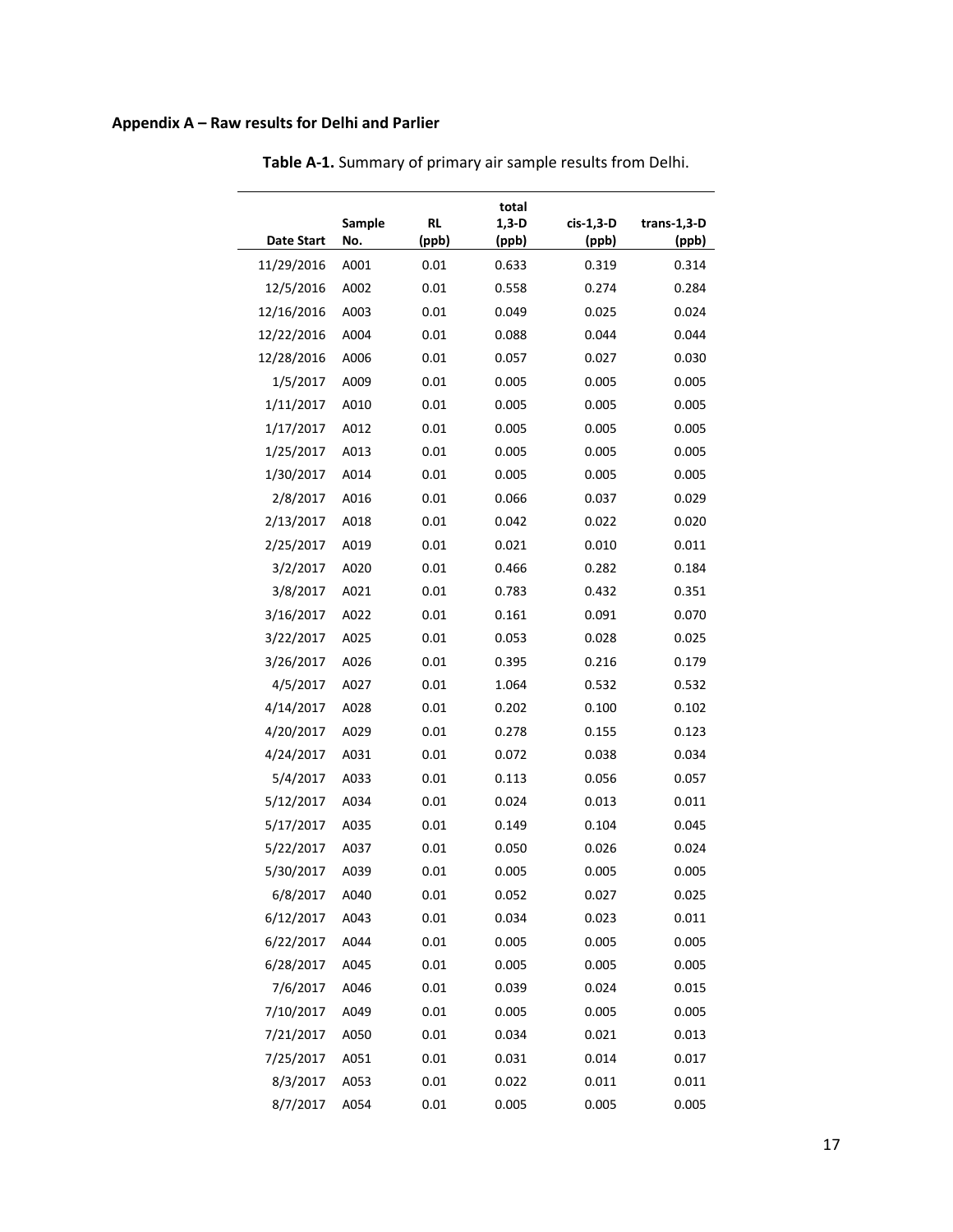# **Appendix A – Raw results for Delhi and Parlier**

|                   |        |           | total   |           |             |
|-------------------|--------|-----------|---------|-----------|-------------|
|                   | Sample | <b>RL</b> | $1,3-D$ | cis-1,3-D | trans-1,3-D |
| <b>Date Start</b> | No.    | (ppb)     | (ppb)   | (ppb)     | (ppb)       |
| 11/29/2016        | A001   | 0.01      | 0.633   | 0.319     | 0.314       |
| 12/5/2016         | A002   | 0.01      | 0.558   | 0.274     | 0.284       |
| 12/16/2016        | A003   | 0.01      | 0.049   | 0.025     | 0.024       |
| 12/22/2016        | A004   | 0.01      | 0.088   | 0.044     | 0.044       |
| 12/28/2016        | A006   | 0.01      | 0.057   | 0.027     | 0.030       |
| 1/5/2017          | A009   | 0.01      | 0.005   | 0.005     | 0.005       |
| 1/11/2017         | A010   | 0.01      | 0.005   | 0.005     | 0.005       |
| 1/17/2017         | A012   | 0.01      | 0.005   | 0.005     | 0.005       |
| 1/25/2017         | A013   | 0.01      | 0.005   | 0.005     | 0.005       |
| 1/30/2017         | A014   | 0.01      | 0.005   | 0.005     | 0.005       |
| 2/8/2017          | A016   | 0.01      | 0.066   | 0.037     | 0.029       |
| 2/13/2017         | A018   | 0.01      | 0.042   | 0.022     | 0.020       |
| 2/25/2017         | A019   | 0.01      | 0.021   | 0.010     | 0.011       |
| 3/2/2017          | A020   | 0.01      | 0.466   | 0.282     | 0.184       |
| 3/8/2017          | A021   | 0.01      | 0.783   | 0.432     | 0.351       |
| 3/16/2017         | A022   | 0.01      | 0.161   | 0.091     | 0.070       |
| 3/22/2017         | A025   | 0.01      | 0.053   | 0.028     | 0.025       |
| 3/26/2017         | A026   | 0.01      | 0.395   | 0.216     | 0.179       |
| 4/5/2017          | A027   | 0.01      | 1.064   | 0.532     | 0.532       |
| 4/14/2017         | A028   | 0.01      | 0.202   | 0.100     | 0.102       |
| 4/20/2017         | A029   | 0.01      | 0.278   | 0.155     | 0.123       |
| 4/24/2017         | A031   | 0.01      | 0.072   | 0.038     | 0.034       |
| 5/4/2017          | A033   | 0.01      | 0.113   | 0.056     | 0.057       |
| 5/12/2017         | A034   | 0.01      | 0.024   | 0.013     | 0.011       |
| 5/17/2017         | A035   | 0.01      | 0.149   | 0.104     | 0.045       |
| 5/22/2017         | A037   | 0.01      | 0.050   | 0.026     | 0.024       |
| 5/30/2017         | A039   | 0.01      | 0.005   | 0.005     | 0.005       |
| 6/8/2017          | A040   | 0.01      | 0.052   | 0.027     | 0.025       |
| 6/12/2017         | A043   | 0.01      | 0.034   | 0.023     | 0.011       |
| 6/22/2017         | A044   | 0.01      | 0.005   | 0.005     | 0.005       |
| 6/28/2017         | A045   | 0.01      | 0.005   | 0.005     | 0.005       |
| 7/6/2017          | A046   | 0.01      | 0.039   | 0.024     | 0.015       |
| 7/10/2017         | A049   | 0.01      | 0.005   | 0.005     | 0.005       |
| 7/21/2017         | A050   | 0.01      | 0.034   | 0.021     | 0.013       |
| 7/25/2017         | A051   | 0.01      | 0.031   | 0.014     | 0.017       |
| 8/3/2017          | A053   | 0.01      | 0.022   | 0.011     | 0.011       |
| 8/7/2017          | A054   | 0.01      | 0.005   | 0.005     | 0.005       |

**Table A-1.** Summary of primary air sample results from Delhi.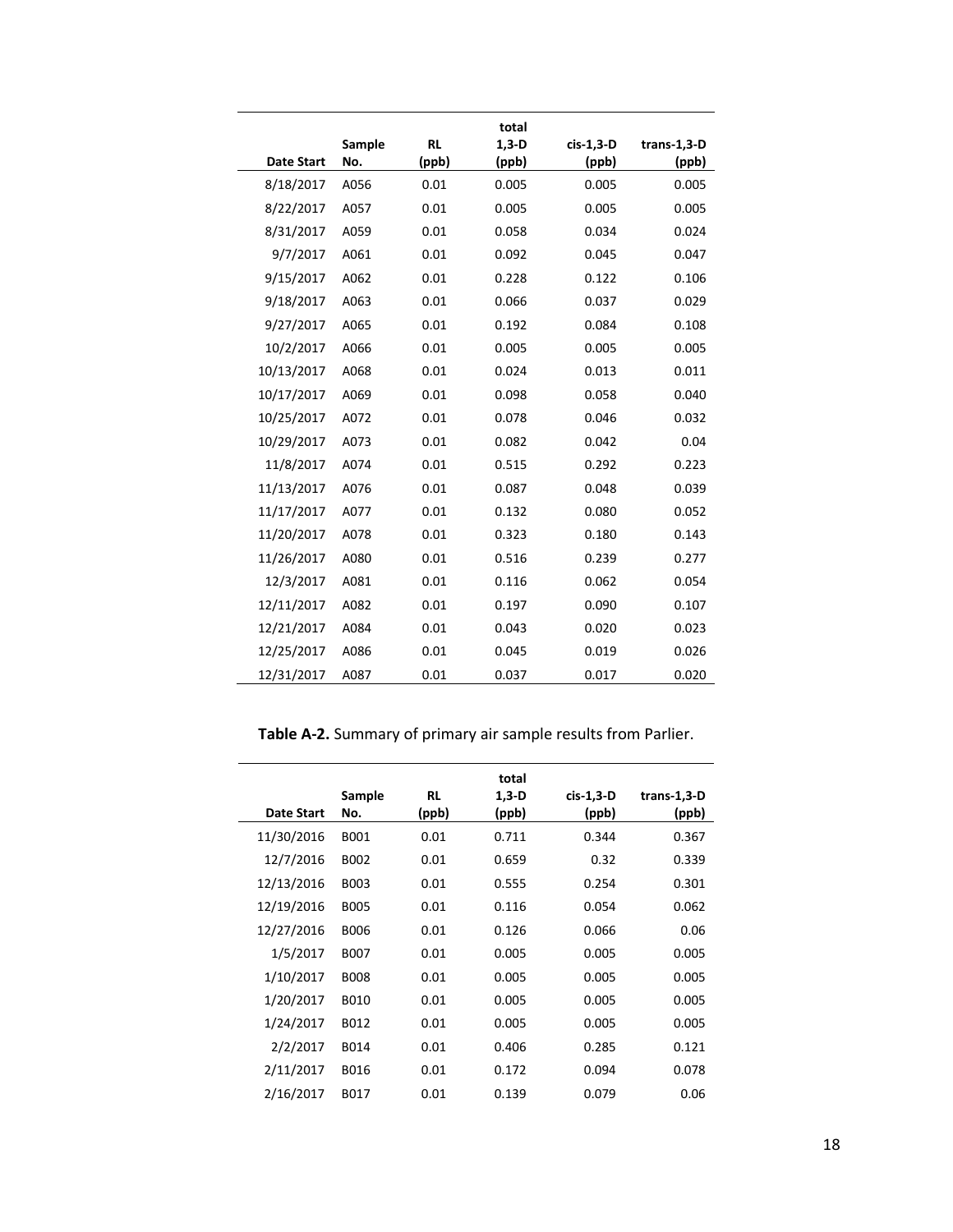| <b>Date Start</b> | Sample<br>No. | <b>RL</b><br>(ppb) | total<br>$1,3-D$<br>(ppb) | cis-1,3-D<br>(ppb) | $trans-1,3-D$<br>(ppb) |
|-------------------|---------------|--------------------|---------------------------|--------------------|------------------------|
| 8/18/2017         | A056          | 0.01               | 0.005                     | 0.005              | 0.005                  |
| 8/22/2017         | A057          | 0.01               | 0.005                     | 0.005              | 0.005                  |
| 8/31/2017         | A059          | 0.01               | 0.058                     | 0.034              | 0.024                  |
| 9/7/2017          | A061          | 0.01               | 0.092                     | 0.045              | 0.047                  |
| 9/15/2017         | A062          | 0.01               | 0.228                     | 0.122              | 0.106                  |
| 9/18/2017         | A063          | 0.01               | 0.066                     | 0.037              | 0.029                  |
| 9/27/2017         | A065          | 0.01               | 0.192                     | 0.084              | 0.108                  |
| 10/2/2017         | A066          | 0.01               | 0.005                     | 0.005              | 0.005                  |
| 10/13/2017        | A068          | 0.01               | 0.024                     | 0.013              | 0.011                  |
| 10/17/2017        | A069          | 0.01               | 0.098                     | 0.058              | 0.040                  |
| 10/25/2017        | A072          | 0.01               | 0.078                     | 0.046              | 0.032                  |
| 10/29/2017        | A073          | 0.01               | 0.082                     | 0.042              | 0.04                   |
| 11/8/2017         | A074          | 0.01               | 0.515                     | 0.292              | 0.223                  |
| 11/13/2017        | A076          | 0.01               | 0.087                     | 0.048              | 0.039                  |
| 11/17/2017        | A077          | 0.01               | 0.132                     | 0.080              | 0.052                  |
| 11/20/2017        | A078          | 0.01               | 0.323                     | 0.180              | 0.143                  |
| 11/26/2017        | A080          | 0.01               | 0.516                     | 0.239              | 0.277                  |
| 12/3/2017         | A081          | 0.01               | 0.116                     | 0.062              | 0.054                  |
| 12/11/2017        | A082          | 0.01               | 0.197                     | 0.090              | 0.107                  |
| 12/21/2017        | A084          | 0.01               | 0.043                     | 0.020              | 0.023                  |
| 12/25/2017        | A086          | 0.01               | 0.045                     | 0.019              | 0.026                  |
| 12/31/2017        | A087          | 0.01               | 0.037                     | 0.017              | 0.020                  |

**Table A-2.** Summary of primary air sample results from Parlier.

|            | Sample      | RL    | total<br>$1,3-D$ | cis-1,3-D | trans-1,3-D |
|------------|-------------|-------|------------------|-----------|-------------|
| Date Start | No.         | (ppb) | (ppb)            | (ppb)     | (ppb)       |
| 11/30/2016 | B001        | 0.01  | 0.711            | 0.344     | 0.367       |
| 12/7/2016  | B002        | 0.01  | 0.659            | 0.32      | 0.339       |
| 12/13/2016 | <b>B003</b> | 0.01  | 0.555            | 0.254     | 0.301       |
| 12/19/2016 | <b>B005</b> | 0.01  | 0.116            | 0.054     | 0.062       |
| 12/27/2016 | <b>B006</b> | 0.01  | 0.126            | 0.066     | 0.06        |
| 1/5/2017   | <b>B007</b> | 0.01  | 0.005            | 0.005     | 0.005       |
| 1/10/2017  | <b>B008</b> | 0.01  | 0.005            | 0.005     | 0.005       |
| 1/20/2017  | B010        | 0.01  | 0.005            | 0.005     | 0.005       |
| 1/24/2017  | B012        | 0.01  | 0.005            | 0.005     | 0.005       |
| 2/2/2017   | B014        | 0.01  | 0.406            | 0.285     | 0.121       |
| 2/11/2017  | B016        | 0.01  | 0.172            | 0.094     | 0.078       |
| 2/16/2017  | B017        | 0.01  | 0.139            | 0.079     | 0.06        |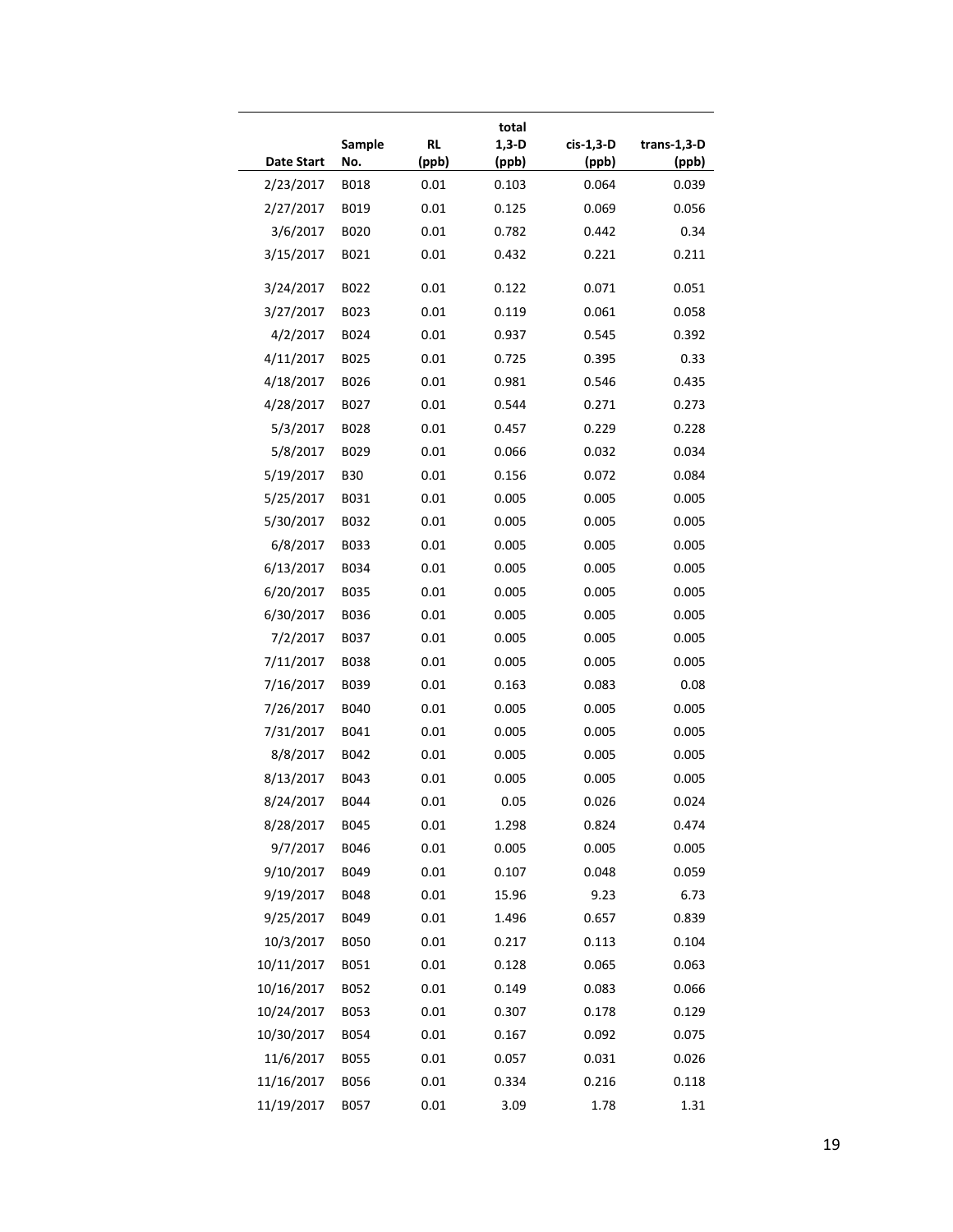| <b>Date Start</b>       | Sample<br>No.              | <b>RL</b><br>(ppb) | total<br>$1,3-D$<br>(ppb) | cis-1,3-D<br>(ppb) | trans-1,3-D<br>(ppb) |
|-------------------------|----------------------------|--------------------|---------------------------|--------------------|----------------------|
| 2/23/2017               | <b>B018</b>                | 0.01               | 0.103                     | 0.064              | 0.039                |
| 2/27/2017               | B019                       | 0.01               | 0.125                     | 0.069              | 0.056                |
| 3/6/2017                | B020                       | 0.01               | 0.782                     | 0.442              | 0.34                 |
| 3/15/2017               | B021                       | 0.01               | 0.432                     | 0.221              | 0.211                |
|                         |                            |                    |                           |                    |                      |
| 3/24/2017               | B022                       | 0.01               | 0.122                     | 0.071              | 0.051                |
| 3/27/2017               | B023                       | 0.01               | 0.119                     | 0.061              | 0.058                |
| 4/2/2017                | B024                       | 0.01               | 0.937                     | 0.545              | 0.392                |
| 4/11/2017               | B025                       | 0.01               | 0.725                     | 0.395              | 0.33                 |
| 4/18/2017               | B026                       | 0.01               | 0.981                     | 0.546              | 0.435                |
| 4/28/2017               | B027                       | 0.01               | 0.544                     | 0.271              | 0.273                |
| 5/3/2017                | B028                       | 0.01               | 0.457                     | 0.229              | 0.228                |
| 5/8/2017                | B029                       | 0.01               | 0.066                     | 0.032              | 0.034                |
| 5/19/2017               | <b>B30</b>                 | 0.01               | 0.156                     | 0.072              | 0.084                |
| 5/25/2017               | B031                       | 0.01               | 0.005                     | 0.005              | 0.005                |
| 5/30/2017               | B032                       | 0.01               | 0.005                     | 0.005              | 0.005                |
| 6/8/2017                | B033                       | 0.01               | 0.005                     | 0.005              | 0.005                |
| 6/13/2017               | B034                       | 0.01               | 0.005                     | 0.005              | 0.005                |
| 6/20/2017               | B035                       | 0.01               | 0.005                     | 0.005              | 0.005                |
| 6/30/2017               | <b>B036</b>                | 0.01               | 0.005                     | 0.005              | 0.005                |
| 7/2/2017                | B037                       | 0.01               | 0.005                     | 0.005              | 0.005                |
| 7/11/2017               | <b>B038</b>                | 0.01               | 0.005                     | 0.005              | 0.005                |
| 7/16/2017               | B039                       | 0.01               | 0.163                     | 0.083              | 0.08                 |
| 7/26/2017               | <b>B040</b>                | 0.01               | 0.005                     | 0.005              | 0.005                |
| 7/31/2017               | B041                       | 0.01               | 0.005                     | 0.005              | 0.005                |
| 8/8/2017                | B042                       | 0.01               | 0.005                     | 0.005              | 0.005                |
| 8/13/2017               | B043                       | 0.01               | 0.005                     | 0.005              | 0.005                |
| 8/24/2017               | B044                       | 0.01               | 0.05                      | 0.026              | 0.024                |
| 8/28/2017               | B045                       | 0.01               | 1.298                     | 0.824              | 0.474                |
| 9/7/2017                | <b>B046</b>                | 0.01               | 0.005                     | 0.005              | 0.005                |
| 9/10/2017               | B049                       | 0.01               | 0.107                     | 0.048              | 0.059                |
| 9/19/2017               | B048                       | 0.01               | 15.96                     | 9.23               | 6.73                 |
| 9/25/2017               | B049                       | 0.01               | 1.496                     | 0.657              | 0.839                |
| 10/3/2017               | <b>B050</b>                | 0.01               | 0.217                     | 0.113              | 0.104                |
| 10/11/2017              | B051                       | 0.01               | 0.128                     | 0.065              | 0.063                |
| 10/16/2017              | B052                       | $0.01\,$           | 0.149                     | 0.083              | 0.066                |
| 10/24/2017              |                            | 0.01               | 0.307                     | 0.178              | 0.129                |
|                         |                            |                    |                           |                    |                      |
|                         | B053                       | 0.01               | 0.167                     | 0.092              |                      |
| 10/30/2017              | B054                       |                    |                           |                    | 0.075                |
| 11/6/2017<br>11/16/2017 | <b>B055</b><br><b>B056</b> | 0.01<br>0.01       | 0.057<br>0.334            | 0.031<br>0.216     | 0.026<br>0.118       |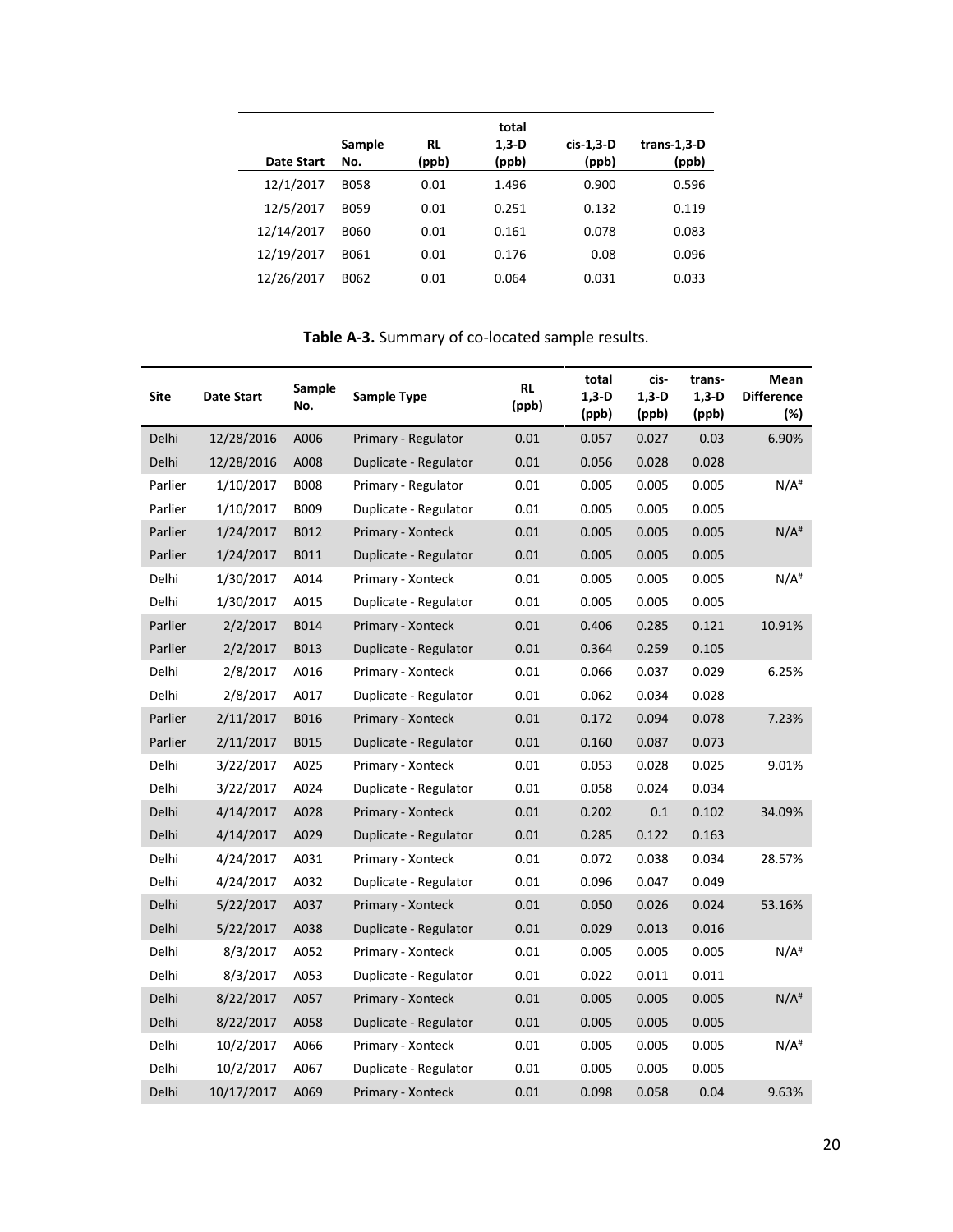|            |               |             | total            |                    |                      |
|------------|---------------|-------------|------------------|--------------------|----------------------|
| Date Start | Sample<br>No. | RL<br>(ppb) | $1,3-D$<br>(ppb) | cis-1,3-D<br>(ppb) | trans-1,3-D<br>(ppb) |
| 12/1/2017  | <b>B058</b>   | 0.01        | 1.496            | 0.900              | 0.596                |
| 12/5/2017  | <b>B059</b>   | 0.01        | 0.251            | 0.132              | 0.119                |
| 12/14/2017 | <b>B060</b>   | 0.01        | 0.161            | 0.078              | 0.083                |
| 12/19/2017 | B061          | 0.01        | 0.176            | 0.08               | 0.096                |
| 12/26/2017 | B062          | 0.01        | 0.064            | 0.031              | 0.033                |

**Table A-3.** Summary of co-located sample results.

| Site    | <b>Date Start</b> | Sample<br>No. | Sample Type           | RL<br>(ppb) | total<br>$1,3-D$<br>(ppb) | cis-<br>1,3-D<br>(ppb) | trans-<br>$1,3-D$<br>(ppb) | Mean<br><b>Difference</b><br>$(\%)$ |
|---------|-------------------|---------------|-----------------------|-------------|---------------------------|------------------------|----------------------------|-------------------------------------|
| Delhi   | 12/28/2016        | A006          | Primary - Regulator   | 0.01        | 0.057                     | 0.027                  | 0.03                       | 6.90%                               |
| Delhi   | 12/28/2016        | A008          | Duplicate - Regulator | 0.01        | 0.056                     | 0.028                  | 0.028                      |                                     |
| Parlier | 1/10/2017         | <b>B008</b>   | Primary - Regulator   | 0.01        | 0.005                     | 0.005                  | 0.005                      | $N/A$ <sup>#</sup>                  |
| Parlier | 1/10/2017         | B009          | Duplicate - Regulator | $0.01\,$    | 0.005                     | 0.005                  | 0.005                      |                                     |
| Parlier | 1/24/2017         | B012          | Primary - Xonteck     | 0.01        | 0.005                     | 0.005                  | 0.005                      | $N/A$ <sup>#</sup>                  |
| Parlier | 1/24/2017         | B011          | Duplicate - Regulator | 0.01        | 0.005                     | 0.005                  | 0.005                      |                                     |
| Delhi   | 1/30/2017         | A014          | Primary - Xonteck     | 0.01        | 0.005                     | 0.005                  | 0.005                      | $N/A$ <sup>#</sup>                  |
| Delhi   | 1/30/2017         | A015          | Duplicate - Regulator | 0.01        | 0.005                     | 0.005                  | 0.005                      |                                     |
| Parlier | 2/2/2017          | B014          | Primary - Xonteck     | 0.01        | 0.406                     | 0.285                  | 0.121                      | 10.91%                              |
| Parlier | 2/2/2017          | B013          | Duplicate - Regulator | 0.01        | 0.364                     | 0.259                  | 0.105                      |                                     |
| Delhi   | 2/8/2017          | A016          | Primary - Xonteck     | 0.01        | 0.066                     | 0.037                  | 0.029                      | 6.25%                               |
| Delhi   | 2/8/2017          | A017          | Duplicate - Regulator | 0.01        | 0.062                     | 0.034                  | 0.028                      |                                     |
| Parlier | 2/11/2017         | <b>B016</b>   | Primary - Xonteck     | 0.01        | 0.172                     | 0.094                  | 0.078                      | 7.23%                               |
| Parlier | 2/11/2017         | B015          | Duplicate - Regulator | 0.01        | 0.160                     | 0.087                  | 0.073                      |                                     |
| Delhi   | 3/22/2017         | A025          | Primary - Xonteck     | 0.01        | 0.053                     | 0.028                  | 0.025                      | 9.01%                               |
| Delhi   | 3/22/2017         | A024          | Duplicate - Regulator | 0.01        | 0.058                     | 0.024                  | 0.034                      |                                     |
| Delhi   | 4/14/2017         | A028          | Primary - Xonteck     | 0.01        | 0.202                     | $0.1\,$                | 0.102                      | 34.09%                              |
| Delhi   | 4/14/2017         | A029          | Duplicate - Regulator | 0.01        | 0.285                     | 0.122                  | 0.163                      |                                     |
| Delhi   | 4/24/2017         | A031          | Primary - Xonteck     | 0.01        | 0.072                     | 0.038                  | 0.034                      | 28.57%                              |
| Delhi   | 4/24/2017         | A032          | Duplicate - Regulator | 0.01        | 0.096                     | 0.047                  | 0.049                      |                                     |
| Delhi   | 5/22/2017         | A037          | Primary - Xonteck     | 0.01        | 0.050                     | 0.026                  | 0.024                      | 53.16%                              |
| Delhi   | 5/22/2017         | A038          | Duplicate - Regulator | 0.01        | 0.029                     | 0.013                  | 0.016                      |                                     |
| Delhi   | 8/3/2017          | A052          | Primary - Xonteck     | 0.01        | 0.005                     | 0.005                  | 0.005                      | $N/A$ <sup>#</sup>                  |
| Delhi   | 8/3/2017          | A053          | Duplicate - Regulator | 0.01        | 0.022                     | 0.011                  | 0.011                      |                                     |
| Delhi   | 8/22/2017         | A057          | Primary - Xonteck     | 0.01        | 0.005                     | 0.005                  | 0.005                      | $N/A$ <sup>#</sup>                  |
| Delhi   | 8/22/2017         | A058          | Duplicate - Regulator | 0.01        | 0.005                     | 0.005                  | 0.005                      |                                     |
| Delhi   | 10/2/2017         | A066          | Primary - Xonteck     | 0.01        | 0.005                     | 0.005                  | 0.005                      | $N/A$ <sup>#</sup>                  |
| Delhi   | 10/2/2017         | A067          | Duplicate - Regulator | 0.01        | 0.005                     | 0.005                  | 0.005                      |                                     |
| Delhi   | 10/17/2017        | A069          | Primary - Xonteck     | 0.01        | 0.098                     | 0.058                  | 0.04                       | 9.63%                               |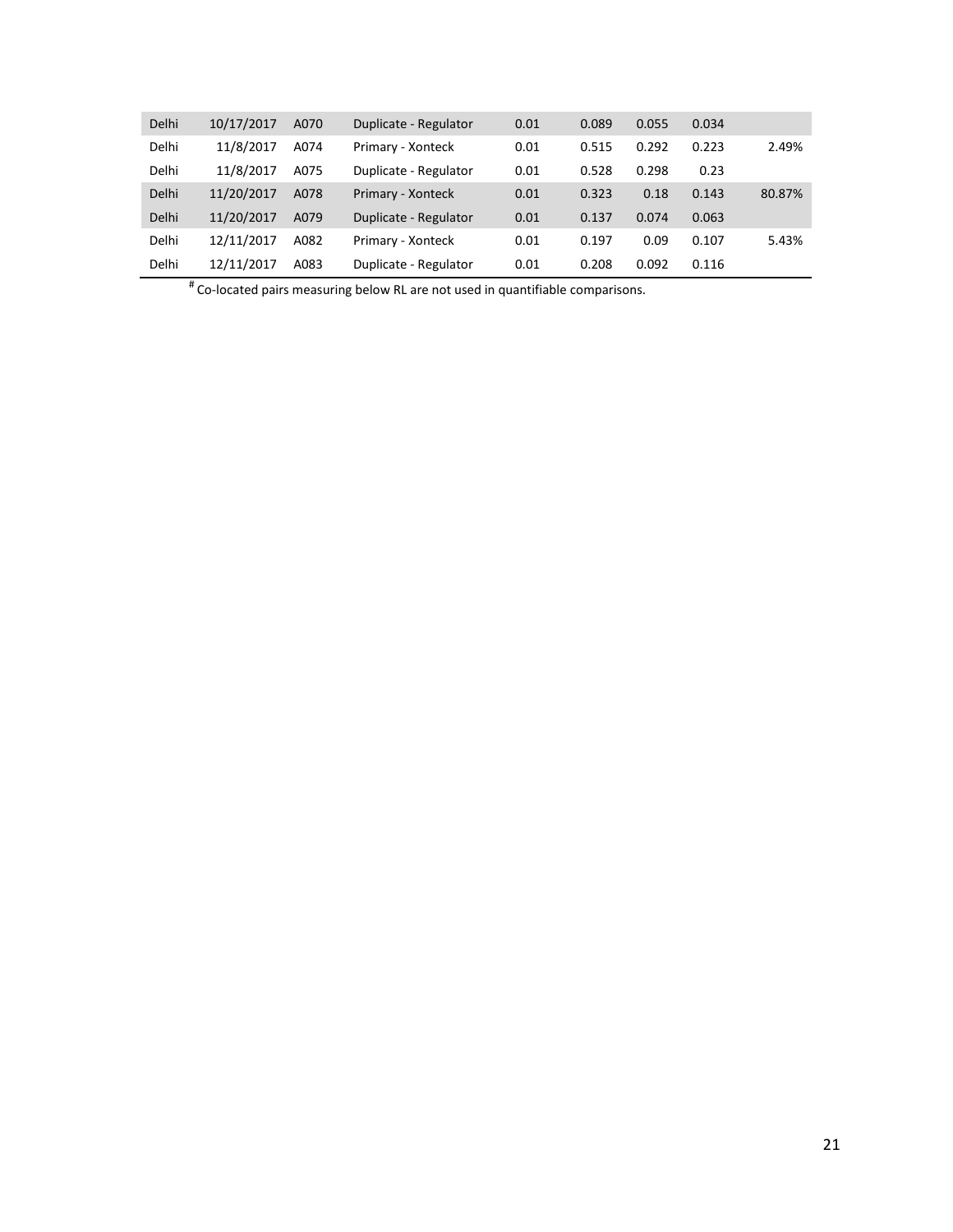| <b>Delhi</b> | 10/17/2017 | A070 | Duplicate - Regulator | 0.01 | 0.089 | 0.055 | 0.034 |        |
|--------------|------------|------|-----------------------|------|-------|-------|-------|--------|
| Delhi        | 11/8/2017  | A074 | Primary - Xonteck     | 0.01 | 0.515 | 0.292 | 0.223 | 2.49%  |
| Delhi        | 11/8/2017  | A075 | Duplicate - Regulator | 0.01 | 0.528 | 0.298 | 0.23  |        |
| Delhi        | 11/20/2017 | A078 | Primary - Xonteck     | 0.01 | 0.323 | 0.18  | 0.143 | 80.87% |
| Delhi        | 11/20/2017 | A079 | Duplicate - Regulator | 0.01 | 0.137 | 0.074 | 0.063 |        |
| Delhi        | 12/11/2017 | A082 | Primary - Xonteck     | 0.01 | 0.197 | 0.09  | 0.107 | 5.43%  |
| Delhi        | 12/11/2017 | A083 | Duplicate - Regulator | 0.01 | 0.208 | 0.092 | 0.116 |        |

# Co-located pairs measuring below RL are not used in quantifiable comparisons.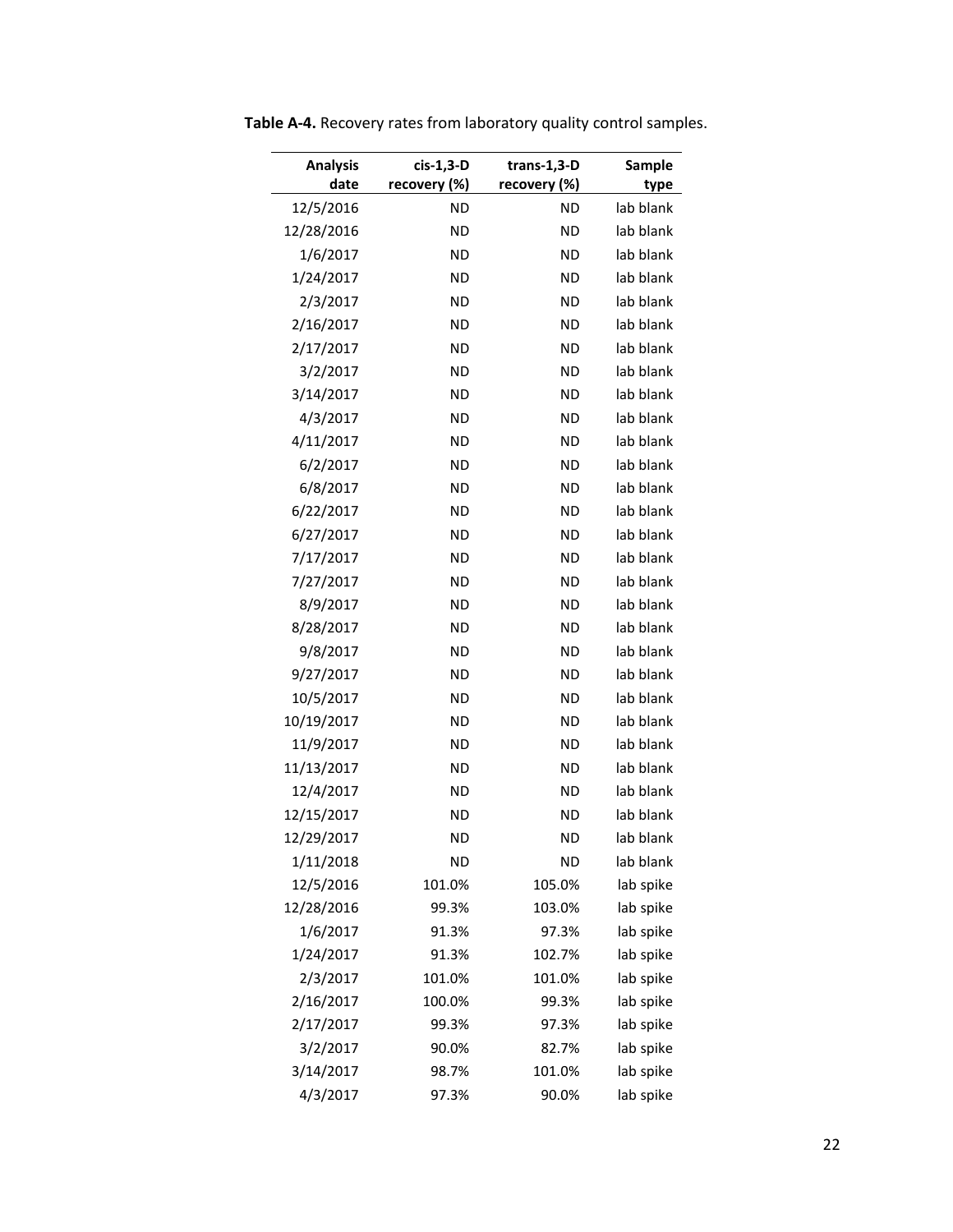| <b>Analysis</b><br>date | cis-1,3-D<br>recovery (%) | trans-1,3- $D$<br>recovery (%) | Sample<br>type |
|-------------------------|---------------------------|--------------------------------|----------------|
| 12/5/2016               | <b>ND</b>                 | <b>ND</b>                      | lab blank      |
| 12/28/2016              | <b>ND</b>                 | <b>ND</b>                      | lab blank      |
| 1/6/2017                | <b>ND</b>                 | <b>ND</b>                      | lab blank      |
| 1/24/2017               | <b>ND</b>                 | <b>ND</b>                      | lab blank      |
| 2/3/2017                | <b>ND</b>                 | <b>ND</b>                      | lab blank      |
| 2/16/2017               | <b>ND</b>                 | ND                             | lab blank      |
| 2/17/2017               | <b>ND</b>                 | <b>ND</b>                      | lab blank      |
| 3/2/2017                | <b>ND</b>                 | <b>ND</b>                      | lab blank      |
| 3/14/2017               | <b>ND</b>                 | <b>ND</b>                      | lab blank      |
| 4/3/2017                | <b>ND</b>                 | ND                             | lab blank      |
| 4/11/2017               | <b>ND</b>                 | <b>ND</b>                      | lab blank      |
| 6/2/2017                | <b>ND</b>                 | <b>ND</b>                      | lab blank      |
| 6/8/2017                | <b>ND</b>                 | <b>ND</b>                      | lab blank      |
| 6/22/2017               | <b>ND</b>                 | ND                             | lab blank      |
| 6/27/2017               | <b>ND</b>                 | <b>ND</b>                      | lab blank      |
| 7/17/2017               | <b>ND</b>                 | <b>ND</b>                      | lab blank      |
| 7/27/2017               | <b>ND</b>                 | <b>ND</b>                      | lab blank      |
| 8/9/2017                | <b>ND</b>                 | ND                             | lab blank      |
| 8/28/2017               | <b>ND</b>                 | <b>ND</b>                      | lab blank      |
| 9/8/2017                | <b>ND</b>                 | <b>ND</b>                      | lab blank      |
| 9/27/2017               | <b>ND</b>                 | <b>ND</b>                      | lab blank      |
| 10/5/2017               | <b>ND</b>                 | ND                             | lab blank      |
| 10/19/2017              | <b>ND</b>                 | <b>ND</b>                      | lab blank      |
| 11/9/2017               | <b>ND</b>                 | <b>ND</b>                      | lab blank      |
| 11/13/2017              | <b>ND</b>                 | <b>ND</b>                      | lab blank      |
| 12/4/2017               | <b>ND</b>                 | <b>ND</b>                      | lab blank      |
| 12/15/2017              | <b>ND</b>                 | <b>ND</b>                      | lab blank      |
| 12/29/2017              | <b>ND</b>                 | <b>ND</b>                      | lab blank      |
| 1/11/2018               | <b>ND</b>                 | <b>ND</b>                      | lab blank      |
| 12/5/2016               | 101.0%                    | 105.0%                         | lab spike      |
| 12/28/2016              | 99.3%                     | 103.0%                         | lab spike      |
| 1/6/2017                | 91.3%                     | 97.3%                          | lab spike      |
| 1/24/2017               | 91.3%                     | 102.7%                         | lab spike      |
| 2/3/2017                | 101.0%                    | 101.0%                         | lab spike      |
| 2/16/2017               | 100.0%                    | 99.3%                          | lab spike      |
| 2/17/2017               | 99.3%                     | 97.3%                          | lab spike      |
| 3/2/2017                | 90.0%                     | 82.7%                          | lab spike      |
| 3/14/2017               | 98.7%                     | 101.0%                         | lab spike      |
| 4/3/2017                | 97.3%                     | 90.0%                          | lab spike      |

**Table A-4.** Recovery rates from laboratory quality control samples.